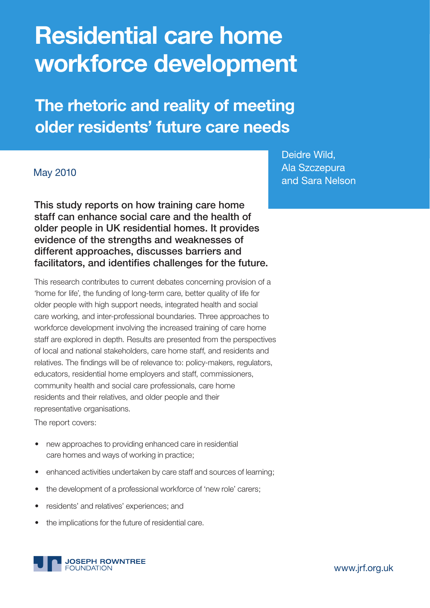# **Residential care home workforce development**

**The rhetoric and reality of meeting older residents' future care needs** 

### May 2010

**This study reports on how training care home staff can enhance social care and the health of older people in UK residential homes. It provides evidence of the strengths and weaknesses of different approaches, discusses barriers and**  facilitators, and identifies challenges for the future.

This research contributes to current debates concerning provision of a 'home for life', the funding of long-term care, better quality of life for older people with high support needs, integrated health and social care working, and inter-professional boundaries. Three approaches to workforce development involving the increased training of care home staff are explored in depth. Results are presented from the perspectives of local and national stakeholders, care home staff, and residents and relatives. The findings will be of relevance to: policy-makers, regulators, educators, residential home employers and staff, commissioners, community health and social care professionals, care home residents and their relatives, and older people and their representative organisations.

The report covers:

- new approaches to providing enhanced care in residential care homes and ways of working in practice;
- enhanced activities undertaken by care staff and sources of learning;
- the development of a professional workforce of 'new role' carers;
- residents' and relatives' experiences; and
- the implications for the future of residential care.



Deidre Wild, Ala Szczepura and Sara Nelson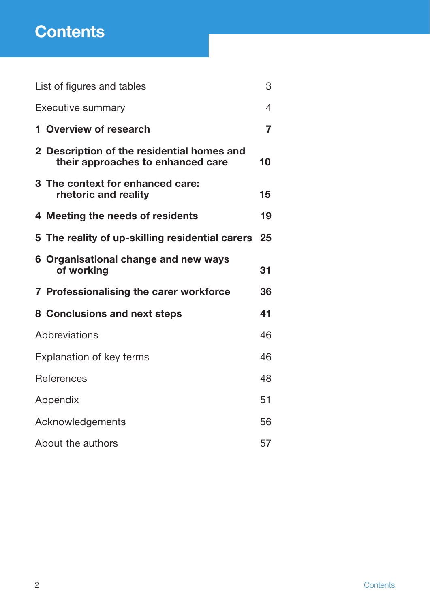## **Contents**

| List of figures and tables      |                                                                                 |                |  |
|---------------------------------|---------------------------------------------------------------------------------|----------------|--|
| <b>Executive summary</b>        |                                                                                 |                |  |
|                                 | 1 Overview of research                                                          | $\overline{7}$ |  |
|                                 | 2 Description of the residential homes and<br>their approaches to enhanced care | 10             |  |
|                                 | 3 The context for enhanced care:<br>rhetoric and reality                        | 15             |  |
|                                 | 4 Meeting the needs of residents                                                | 19             |  |
|                                 | 5 The reality of up-skilling residential carers                                 | 25             |  |
|                                 | 6 Organisational change and new ways<br>of working                              | 31             |  |
|                                 | 7 Professionalising the carer workforce                                         | 36             |  |
|                                 | 8 Conclusions and next steps                                                    | 41             |  |
| Abbreviations                   |                                                                                 |                |  |
| <b>Explanation of key terms</b> |                                                                                 |                |  |
| <b>References</b>               |                                                                                 |                |  |
| Appendix                        |                                                                                 |                |  |
| Acknowledgements                |                                                                                 |                |  |
| About the authors               |                                                                                 |                |  |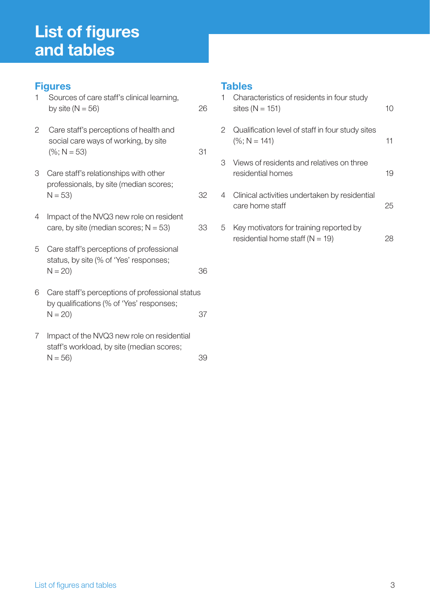## **List of figures and tables**

## **Figures**

| $\mathbf{1}$ | Sources of care staff's clinical learning,<br>by site ( $N = 56$ )                                      | 26 |
|--------------|---------------------------------------------------------------------------------------------------------|----|
| 2            | Care staff's perceptions of health and<br>social care ways of working, by site<br>$(\%; N = 53)$        | 31 |
| 3            | Care staff's relationships with other<br>professionals, by site (median scores;<br>$N = 53$             | 32 |
| 4            | Impact of the NVQ3 new role on resident<br>care, by site (median scores; $N = 53$ )                     | 33 |
| 5            | Care staff's perceptions of professional<br>status, by site (% of 'Yes' responses;<br>$N = 20$          | 36 |
| 6            | Care staff's perceptions of professional status<br>by qualifications (% of 'Yes' responses;<br>$N = 20$ | 37 |
| 7            | Impact of the NVQ3 new role on residential<br>etaff'e workload by eite (median ecoree:                  |    |

#### staff's workload, by site (median scores;  $N = 56$ ) 39

## **Tables**

|   | Characteristics of residents in four study<br>sites ( $N = 151$ )              | 10 |
|---|--------------------------------------------------------------------------------|----|
| 2 | Qualification level of staff in four study sites<br>$(\%; N = 141)$            | 11 |
| 3 | Views of residents and relatives on three<br>residential homes                 | 19 |
| 4 | Clinical activities undertaken by residential<br>care home staff               | 25 |
| 5 | Key motivators for training reported by<br>residential home staff ( $N = 19$ ) |    |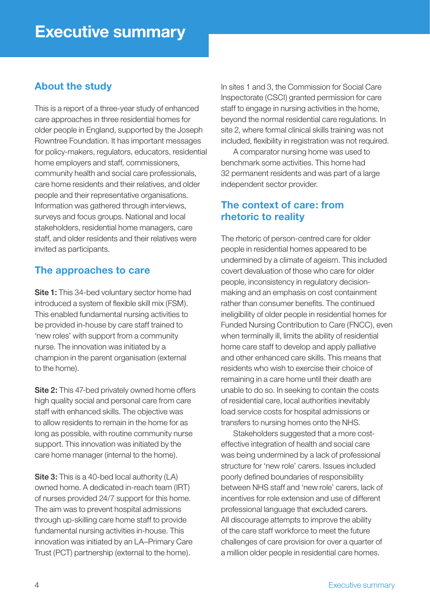## **About the study**

This is a report of a three-year study of enhanced care approaches in three residential homes for older people in England, supported by the Joseph Rowntree Foundation. It has important messages for policy-makers, regulators, educators, residential home employers and staff, commissioners, community health and social care professionals, care home residents and their relatives, and older people and their representative organisations. Information was gathered through interviews, surveys and focus groups. National and local stakeholders, residential home managers, care staff, and older residents and their relatives were invited as participants.

## **The approaches to care**

**Site 1:** This 34-bed voluntary sector home had introduced a system of flexible skill mix (FSM). This enabled fundamental nursing activities to be provided in-house by care staff trained to 'new roles' with support from a community nurse. The innovation was initiated by a champion in the parent organisation (external to the home).

**Site 2:** This 47-bed privately owned home offers high quality social and personal care from care staff with enhanced skills. The objective was to allow residents to remain in the home for as long as possible, with routine community nurse support. This innovation was initiated by the care home manager (internal to the home).

**Site 3:** This is a 40-bed local authority (LA) owned home. A dedicated in-reach team (IRT) of nurses provided 24/7 support for this home. The aim was to prevent hospital admissions through up-skilling care home staff to provide fundamental nursing activities in-house. This innovation was initiated by an LA–Primary Care Trust (PCT) partnership (external to the home).

In sites 1 and 3, the Commission for Social Care Inspectorate (CSCI) granted permission for care staff to engage in nursing activities in the home, beyond the normal residential care regulations. In site 2, where formal clinical skills training was not included, flexibility in registration was not required.

 A comparator nursing home was used to benchmark some activities. This home had 32 permanent residents and was part of a large independent sector provider.

## **The context of care: from rhetoric to reality**

The rhetoric of person-centred care for older people in residential homes appeared to be undermined by a climate of ageism. This included covert devaluation of those who care for older people, inconsistency in regulatory decisionmaking and an emphasis on cost containment rather than consumer benefits. The continued ineligibility of older people in residential homes for Funded Nursing Contribution to Care (FNCC), even when terminally ill, limits the ability of residential home care staff to develop and apply palliative and other enhanced care skills. This means that residents who wish to exercise their choice of remaining in a care home until their death are unable to do so. In seeking to contain the costs of residential care, local authorities inevitably load service costs for hospital admissions or transfers to nursing homes onto the NHS.

 Stakeholders suggested that a more costeffective integration of health and social care was being undermined by a lack of professional structure for 'new role' carers. Issues included poorly defined boundaries of responsibility between NHS staff and 'new role' carers, lack of incentives for role extension and use of different professional language that excluded carers. All discourage attempts to improve the ability of the care staff workforce to meet the future challenges of care provision for over a quarter of a million older people in residential care homes.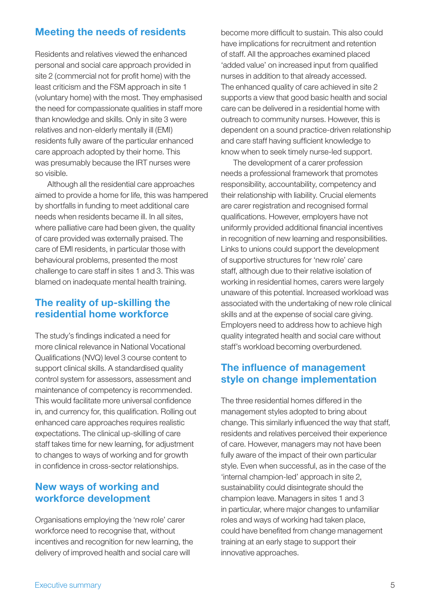## **Meeting the needs of residents**

Residents and relatives viewed the enhanced personal and social care approach provided in site 2 (commercial not for profit home) with the least criticism and the FSM approach in site 1 (voluntary home) with the most. They emphasised the need for compassionate qualities in staff more than knowledge and skills. Only in site 3 were relatives and non-elderly mentally ill (EMI) residents fully aware of the particular enhanced care approach adopted by their home. This was presumably because the IRT nurses were so visible.

 Although all the residential care approaches aimed to provide a home for life, this was hampered by shortfalls in funding to meet additional care needs when residents became ill. In all sites, where palliative care had been given, the quality of care provided was externally praised. The care of EMI residents, in particular those with behavioural problems, presented the most challenge to care staff in sites 1 and 3. This was blamed on inadequate mental health training.

## **The reality of up-skilling the residential home workforce**

The study's findings indicated a need for more clinical relevance in National Vocational Qualifications (NVQ) level 3 course content to support clinical skills. A standardised quality control system for assessors, assessment and maintenance of competency is recommended. This would facilitate more universal confidence in, and currency for, this qualification. Rolling out enhanced care approaches requires realistic expectations. The clinical up-skilling of care staff takes time for new learning, for adjustment to changes to ways of working and for growth in confidence in cross-sector relationships.

## **New ways of working and workforce development**

Organisations employing the 'new role' carer workforce need to recognise that, without incentives and recognition for new learning, the delivery of improved health and social care will

become more difficult to sustain. This also could have implications for recruitment and retention of staff. All the approaches examined placed 'added value' on increased input from qualified nurses in addition to that already accessed. The enhanced quality of care achieved in site 2 supports a view that good basic health and social care can be delivered in a residential home with outreach to community nurses. However, this is dependent on a sound practice-driven relationship and care staff having sufficient knowledge to know when to seek timely nurse-led support.

 The development of a carer profession needs a professional framework that promotes responsibility, accountability, competency and their relationship with liability. Crucial elements are carer registration and recognised formal qualifications. However, employers have not uniformly provided additional financial incentives in recognition of new learning and responsibilities. Links to unions could support the development of supportive structures for 'new role' care staff, although due to their relative isolation of working in residential homes, carers were largely unaware of this potential. Increased workload was associated with the undertaking of new role clinical skills and at the expense of social care giving. Employers need to address how to achieve high quality integrated health and social care without staff's workload becoming overburdened.

## **The influence of management style on change implementation**

The three residential homes differed in the management styles adopted to bring about change. This similarly influenced the way that staff, residents and relatives perceived their experience of care. However, managers may not have been fully aware of the impact of their own particular style. Even when successful, as in the case of the 'internal champion-led' approach in site 2, sustainability could disintegrate should the champion leave. Managers in sites 1 and 3 in particular, where major changes to unfamiliar roles and ways of working had taken place, could have benefited from change management training at an early stage to support their innovative approaches.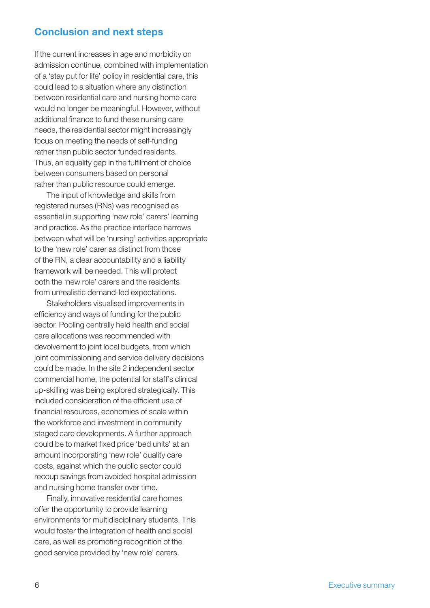### **Conclusion and next steps**

If the current increases in age and morbidity on admission continue, combined with implementation of a 'stay put for life' policy in residential care, this could lead to a situation where any distinction between residential care and nursing home care would no longer be meaningful. However, without additional finance to fund these nursing care needs, the residential sector might increasingly focus on meeting the needs of self-funding rather than public sector funded residents. Thus, an equality gap in the fulfilment of choice between consumers based on personal rather than public resource could emerge.

 The input of knowledge and skills from registered nurses (RNs) was recognised as essential in supporting 'new role' carers' learning and practice. As the practice interface narrows between what will be 'nursing' activities appropriate to the 'new role' carer as distinct from those of the RN, a clear accountability and a liability framework will be needed. This will protect both the 'new role' carers and the residents from unrealistic demand-led expectations.

 Stakeholders visualised improvements in efficiency and ways of funding for the public sector. Pooling centrally held health and social care allocations was recommended with devolvement to joint local budgets, from which joint commissioning and service delivery decisions could be made. In the site 2 independent sector commercial home, the potential for staff's clinical up-skilling was being explored strategically. This included consideration of the efficient use of financial resources, economies of scale within the workforce and investment in community staged care developments. A further approach could be to market fixed price 'bed units' at an amount incorporating 'new role' quality care costs, against which the public sector could recoup savings from avoided hospital admission and nursing home transfer over time.

 Finally, innovative residential care homes offer the opportunity to provide learning environments for multidisciplinary students. This would foster the integration of health and social care, as well as promoting recognition of the good service provided by 'new role' carers.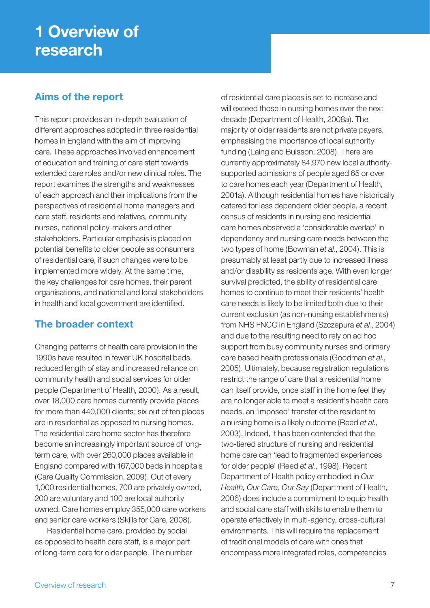## **1 Overview of research**

## **Aims of the report**

This report provides an in-depth evaluation of different approaches adopted in three residential homes in England with the aim of improving care. These approaches involved enhancement of education and training of care staff towards extended care roles and/or new clinical roles. The report examines the strengths and weaknesses of each approach and their implications from the perspectives of residential home managers and care staff, residents and relatives, community nurses, national policy-makers and other stakeholders. Particular emphasis is placed on potential benefits to older people as consumers of residential care, if such changes were to be implemented more widely. At the same time, the key challenges for care homes, their parent organisations, and national and local stakeholders in health and local government are identified.

## **The broader context**

Changing patterns of health care provision in the 1990s have resulted in fewer UK hospital beds, reduced length of stay and increased reliance on community health and social services for older people (Department of Health, 2000). As a result, over 18,000 care homes currently provide places for more than 440,000 clients; six out of ten places are in residential as opposed to nursing homes. The residential care home sector has therefore become an increasingly important source of longterm care, with over 260,000 places available in England compared with 167,000 beds in hospitals (Care Quality Commission, 2009). Out of every 1,000 residential homes, 700 are privately owned, 200 are voluntary and 100 are local authority owned. Care homes employ 355,000 care workers and senior care workers (Skills for Care, 2008).

 Residential home care, provided by social as opposed to health care staff, is a major part of long-term care for older people. The number of residential care places is set to increase and will exceed those in nursing homes over the next decade (Department of Health, 2008a). The majority of older residents are not private payers, emphasising the importance of local authority funding (Laing and Buisson, 2008). There are currently approximately 84,970 new local authoritysupported admissions of people aged 65 or over to care homes each year (Department of Health, 2001a). Although residential homes have historically catered for less dependent older people, a recent census of residents in nursing and residential care homes observed a 'considerable overlap' in dependency and nursing care needs between the two types of home (Bowman *et al.*, 2004). This is presumably at least partly due to increased illness and/or disability as residents age. With even longer survival predicted, the ability of residential care homes to continue to meet their residents' health care needs is likely to be limited both due to their current exclusion (as non-nursing establishments) from NHS FNCC in England (Szczepura *et al.*, 2004) and due to the resulting need to rely on ad hoc support from busy community nurses and primary care based health professionals (Goodman *et al.*, 2005). Ultimately, because registration regulations restrict the range of care that a residential home can itself provide, once staff in the home feel they are no longer able to meet a resident's health care needs, an 'imposed' transfer of the resident to a nursing home is a likely outcome (Reed *et al.*, 2003). Indeed, it has been contended that the two-tiered structure of nursing and residential home care can 'lead to fragmented experiences for older people' (Reed *et al.*, 1998). Recent Department of Health policy embodied in *Our Health, Our Care, Our Say* (Department of Health, 2006) does include a commitment to equip health and social care staff with skills to enable them to operate effectively in multi-agency, cross-cultural environments. This will require the replacement of traditional models of care with ones that encompass more integrated roles, competencies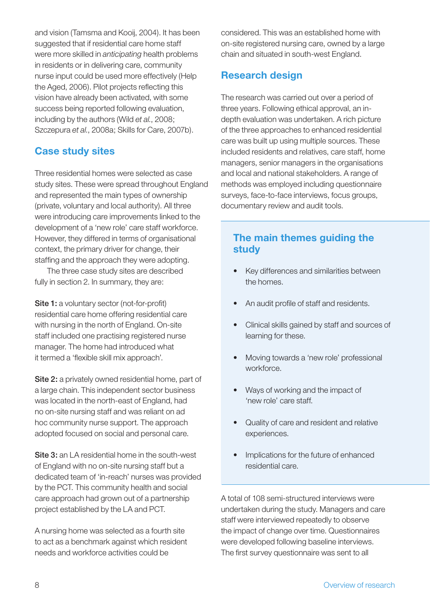and vision (Tamsma and Kooij, 2004). It has been suggested that if residential care home staff were more skilled in *anticipating* health problems in residents or in delivering care, community nurse input could be used more effectively (Help the Aged, 2006). Pilot projects reflecting this vision have already been activated, with some success being reported following evaluation, including by the authors (Wild *et al.*, 2008; Szczepura *et al.*, 2008a; Skills for Care, 2007b).

## **Case study sites**

Three residential homes were selected as case study sites. These were spread throughout England and represented the main types of ownership (private, voluntary and local authority). All three were introducing care improvements linked to the development of a 'new role' care staff workforce. However, they differed in terms of organisational context, the primary driver for change, their staffing and the approach they were adopting.

 The three case study sites are described fully in section 2. In summary, they are:

**Site 1:** a voluntary sector (not-for-profit) residential care home offering residential care with nursing in the north of England. On-site staff included one practising registered nurse manager. The home had introduced what it termed a 'flexible skill mix approach'.

**Site 2:** a privately owned residential home, part of a large chain. This independent sector business was located in the north-east of England, had no on-site nursing staff and was reliant on ad hoc community nurse support. The approach adopted focused on social and personal care.

**Site 3:** an LA residential home in the south-west of England with no on-site nursing staff but a dedicated team of 'in-reach' nurses was provided by the PCT. This community health and social care approach had grown out of a partnership project established by the LA and PCT.

A nursing home was selected as a fourth site to act as a benchmark against which resident needs and workforce activities could be

considered. This was an established home with on-site registered nursing care, owned by a large chain and situated in south-west England.

## **Research design**

The research was carried out over a period of three years. Following ethical approval, an indepth evaluation was undertaken. A rich picture of the three approaches to enhanced residential care was built up using multiple sources. These included residents and relatives, care staff, home managers, senior managers in the organisations and local and national stakeholders. A range of methods was employed including questionnaire surveys, face-to-face interviews, focus groups, documentary review and audit tools.

## **The main themes guiding the study**

- Key differences and similarities between the homes.
- An audit profile of staff and residents.
- Clinical skills gained by staff and sources of learning for these.
- Moving towards a 'new role' professional workforce.
- Ways of working and the impact of 'new role' care staff.
- Quality of care and resident and relative experiences.
- Implications for the future of enhanced residential care.

A total of 108 semi-structured interviews were undertaken during the study. Managers and care staff were interviewed repeatedly to observe the impact of change over time. Questionnaires were developed following baseline interviews. The first survey questionnaire was sent to all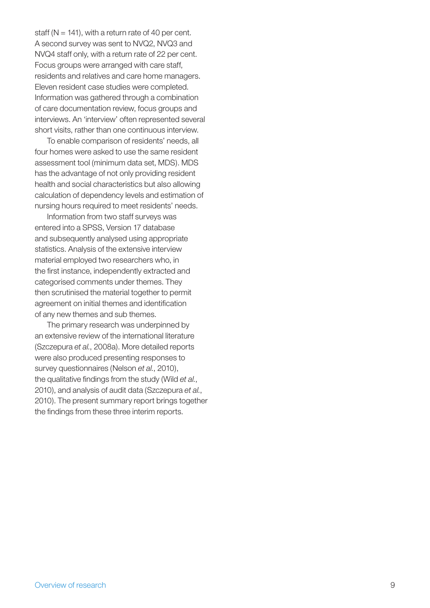staff ( $N = 141$ ), with a return rate of 40 per cent. A second survey was sent to NVQ2, NVQ3 and NVQ4 staff only, with a return rate of 22 per cent. Focus groups were arranged with care staff, residents and relatives and care home managers. Eleven resident case studies were completed. Information was gathered through a combination of care documentation review, focus groups and interviews. An 'interview' often represented several short visits, rather than one continuous interview.

 To enable comparison of residents' needs, all four homes were asked to use the same resident assessment tool (minimum data set, MDS). MDS has the advantage of not only providing resident health and social characteristics but also allowing calculation of dependency levels and estimation of nursing hours required to meet residents' needs.

 Information from two staff surveys was entered into a SPSS, Version 17 database and subsequently analysed using appropriate statistics. Analysis of the extensive interview material employed two researchers who, in the first instance, independently extracted and categorised comments under themes. They then scrutinised the material together to permit agreement on initial themes and identification of any new themes and sub themes.

 The primary research was underpinned by an extensive review of the international literature (Szczepura *et al.*, 2008a). More detailed reports were also produced presenting responses to survey questionnaires (Nelson *et al.*, 2010), the qualitative findings from the study (Wild *et al.*, 2010), and analysis of audit data (Szczepura *et al.*, 2010). The present summary report brings together the findings from these three interim reports.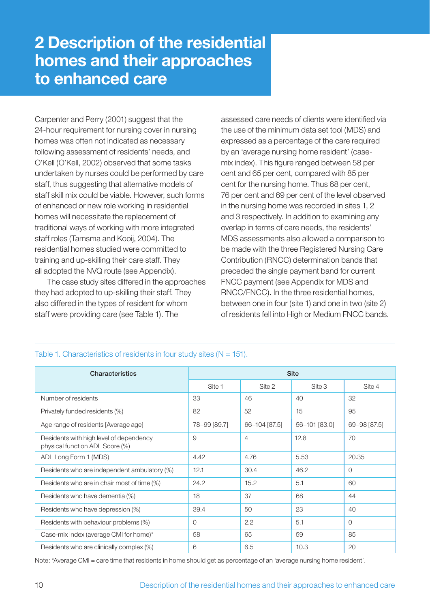## **2 Description of the residential homes and their approaches to enhanced care**

Carpenter and Perry (2001) suggest that the 24-hour requirement for nursing cover in nursing homes was often not indicated as necessary following assessment of residents' needs, and O'Kell (O'Kell, 2002) observed that some tasks undertaken by nurses could be performed by care staff, thus suggesting that alternative models of staff skill mix could be viable. However, such forms of enhanced or new role working in residential homes will necessitate the replacement of traditional ways of working with more integrated staff roles (Tamsma and Kooij, 2004). The residential homes studied were committed to training and up-skilling their care staff. They all adopted the NVQ route (see Appendix).

 The case study sites differed in the approaches they had adopted to up-skilling their staff. They also differed in the types of resident for whom staff were providing care (see Table 1). The

assessed care needs of clients were identified via the use of the minimum data set tool (MDS) and expressed as a percentage of the care required by an 'average nursing home resident' (casemix index). This figure ranged between 58 per cent and 65 per cent, compared with 85 per cent for the nursing home. Thus 68 per cent, 76 per cent and 69 per cent of the level observed in the nursing home was recorded in sites 1, 2 and 3 respectively. In addition to examining any overlap in terms of care needs, the residents' MDS assessments also allowed a comparison to be made with the three Registered Nursing Care Contribution (RNCC) determination bands that preceded the single payment band for current FNCC payment (see Appendix for MDS and RNCC/FNCC). In the three residential homes, between one in four (site 1) and one in two (site 2) of residents fell into High or Medium FNCC bands.

| <b>Characteristics</b>                                                     | <b>Site</b>  |               |               |              |
|----------------------------------------------------------------------------|--------------|---------------|---------------|--------------|
|                                                                            | Site 1       | Site 2        | Site 3        | Site 4       |
| Number of residents                                                        | 33           | 46            | 40            | 32           |
| Privately funded residents (%)                                             | 82           | 52            | 15            | 95           |
| Age range of residents [Average age]                                       | 78-99 [89.7] | 66-104 [87.5] | 56-101 [83.0] | 69-98 [87.5] |
| Residents with high level of dependency<br>physical function ADL Score (%) | 9            | 4             | 12.8          | 70           |
| ADL Long Form 1 (MDS)                                                      | 4.42         | 4.76          | 5.53          | 20.35        |
| Residents who are independent ambulatory (%)                               | 12.1         | 30.4          | 46.2          | $\Omega$     |
| Residents who are in chair most of time (%)                                | 24.2         | 15.2          | 5.1           | 60           |
| Residents who have dementia (%)                                            | 18           | 37            | 68            | 44           |
| Residents who have depression (%)                                          | 39.4         | 50            | 23            | 40           |
| Residents with behaviour problems (%)                                      | $\Omega$     | 2.2           | 5.1           | $\Omega$     |
| Case-mix index (average CMI for home)*                                     | 58           | 65            | 59            | 85           |
| Residents who are clinically complex (%)                                   | 6            | 6.5           | 10.3          | 20           |

#### Table 1. Characteristics of residents in four study sites  $(N = 151)$ .

Note: \*Average CMI = care time that residents in home should get as percentage of an 'average nursing home resident'.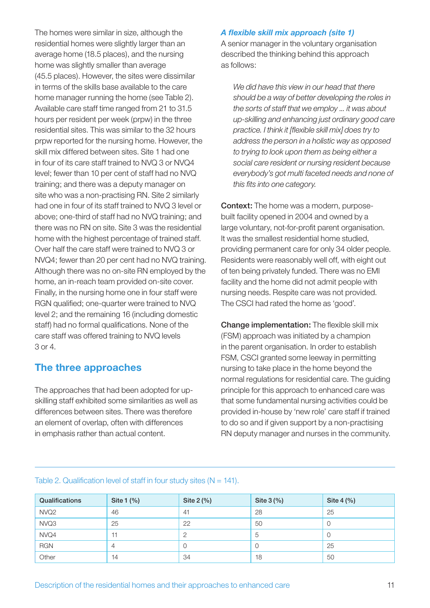The homes were similar in size, although the residential homes were slightly larger than an average home (18.5 places), and the nursing home was slightly smaller than average (45.5 places). However, the sites were dissimilar in terms of the skills base available to the care home manager running the home (see Table 2). Available care staff time ranged from 21 to 31.5 hours per resident per week (prpw) in the three residential sites. This was similar to the 32 hours prpw reported for the nursing home. However, the skill mix differed between sites. Site 1 had one in four of its care staff trained to NVQ 3 or NVQ4 level; fewer than 10 per cent of staff had no NVQ training; and there was a deputy manager on site who was a non-practising RN. Site 2 similarly had one in four of its staff trained to NVQ 3 level or above; one-third of staff had no NVQ training; and there was no RN on site. Site 3 was the residential home with the highest percentage of trained staff. Over half the care staff were trained to NVQ 3 or NVQ4; fewer than 20 per cent had no NVQ training. Although there was no on-site RN employed by the home, an in-reach team provided on-site cover. Finally, in the nursing home one in four staff were RGN qualified; one-quarter were trained to NVQ level 2; and the remaining 16 (including domestic staff) had no formal qualifications. None of the care staff was offered training to NVQ levels 3 or 4.

### **The three approaches**

The approaches that had been adopted for upskilling staff exhibited some similarities as well as differences between sites. There was therefore an element of overlap, often with differences in emphasis rather than actual content.

#### A flexible skill mix approach (site 1)

A senior manager in the voluntary organisation described the thinking behind this approach as follows:

*We did have this view in our head that there should be a way of better developing the roles in the sorts of staff that we employ ... it was about up-skilling and enhancing just ordinary good care*  practice. I think it [flexible skill mix] does try to *address the person in a holistic way as opposed to trying to look upon them as being either a social care resident or nursing resident because everybody's got multi faceted needs and none of this fits into one category.* 

**Context:** The home was a modern, purposebuilt facility opened in 2004 and owned by a large voluntary, not-for-profit parent organisation. It was the smallest residential home studied, providing permanent care for only 34 older people. Residents were reasonably well off, with eight out of ten being privately funded. There was no EMI facility and the home did not admit people with nursing needs. Respite care was not provided. The CSCI had rated the home as 'good'.

**Change implementation:** The flexible skill mix (FSM) approach was initiated by a champion in the parent organisation. In order to establish FSM, CSCI granted some leeway in permitting nursing to take place in the home beyond the normal regulations for residential care. The guiding principle for this approach to enhanced care was that some fundamental nursing activities could be provided in-house by 'new role' care staff if trained to do so and if given support by a non-practising RN deputy manager and nurses in the community.

| Qualifications   | Site 1 (%)     | Site 2 (%) | Site 3 (%) | Site 4 (%) |
|------------------|----------------|------------|------------|------------|
| NVQ <sub>2</sub> | 46             | -41        | 28         | 25         |
| NVQ3             | 25             | 22         | 50         | U          |
| NVQ4             |                | 2          | 5          | U          |
| <b>RGN</b>       | $\overline{4}$ | O          | U          | 25         |
| Other            | 14             | 34         | 18         | 50         |

#### Table 2. Qualification level of staff in four study sites  $(N = 141)$ .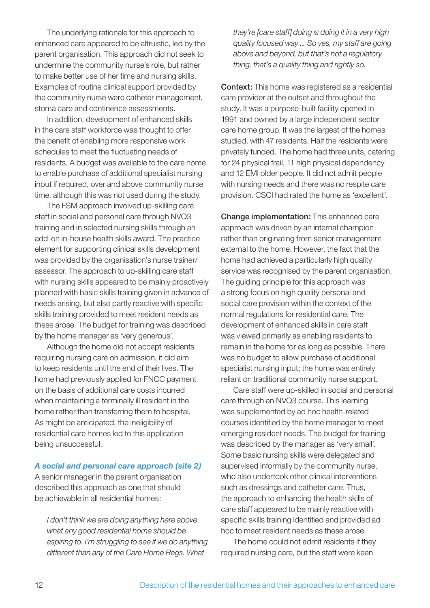The underlying rationale for this approach to enhanced care appeared to be altruistic, led by the parent organisation. This approach did not seek to undermine the community nurse's role, but rather to make better use of her time and nursing skills. Examples of routine clinical support provided by the community nurse were catheter management, stoma care and continence assessments.

 In addition, development of enhanced skills in the care staff workforce was thought to offer the benefit of enabling more responsive work schedules to meet the fluctuating needs of residents. A budget was available to the care home to enable purchase of additional specialist nursing input if required, over and above community nurse time, although this was not used during the study.

 The FSM approach involved up-skilling care staff in social and personal care through NVQ3 training and in selected nursing skills through an add-on in-house health skills award. The practice element for supporting clinical skills development was provided by the organisation's nurse trainer/ assessor. The approach to up-skilling care staff with nursing skills appeared to be mainly proactively planned with basic skills training given in advance of needs arising, but also partly reactive with specific skills training provided to meet resident needs as these arose. The budget for training was described by the home manager as 'very generous'.

 Although the home did not accept residents requiring nursing care on admission, it did aim to keep residents until the end of their lives. The home had previously applied for FNCC payment on the basis of additional care costs incurred when maintaining a terminally ill resident in the home rather than transferring them to hospital. As might be anticipated, the ineligibility of residential care homes led to this application being unsuccessful.

#### *A social and personal care approach (site 2)*

A senior manager in the parent organisation described this approach as one that should be achievable in all residential homes:

*I don't think we are doing anything here above what any good residential home should be aspiring to. I'm struggling to see if we do anything different than any of the Care Home Regs. What* 

*they're [care staff] doing is doing it in a very high quality focused way ... So yes, my staff are going above and beyond, but that's not a regulatory thing, that's a quality thing and rightly so.*

**Context:** This home was registered as a residential care provider at the outset and throughout the study. It was a purpose-built facility opened in 1991 and owned by a large independent sector care home group. It was the largest of the homes studied, with 47 residents. Half the residents were privately funded. The home had three units, catering for 24 physical frail, 11 high physical dependency and 12 EMI older people. It did not admit people with nursing needs and there was no respite care provision. CSCI had rated the home as 'excellent'.

**Change implementation:** This enhanced care approach was driven by an internal champion rather than originating from senior management external to the home. However, the fact that the home had achieved a particularly high quality service was recognised by the parent organisation. The guiding principle for this approach was a strong focus on high quality personal and social care provision within the context of the normal regulations for residential care. The development of enhanced skills in care staff was viewed primarily as enabling residents to remain in the home for as long as possible. There was no budget to allow purchase of additional specialist nursing input; the home was entirely reliant on traditional community nurse support.

 Care staff were up-skilled in social and personal care through an NVQ3 course. This learning was supplemented by ad hoc health-related courses identified by the home manager to meet emerging resident needs. The budget for training was described by the manager as 'very small'. Some basic nursing skills were delegated and supervised informally by the community nurse, who also undertook other clinical interventions such as dressings and catheter care. Thus, the approach to enhancing the health skills of care staff appeared to be mainly reactive with specific skills training identified and provided ad hoc to meet resident needs as these arose.

 The home could not admit residents if they required nursing care, but the staff were keen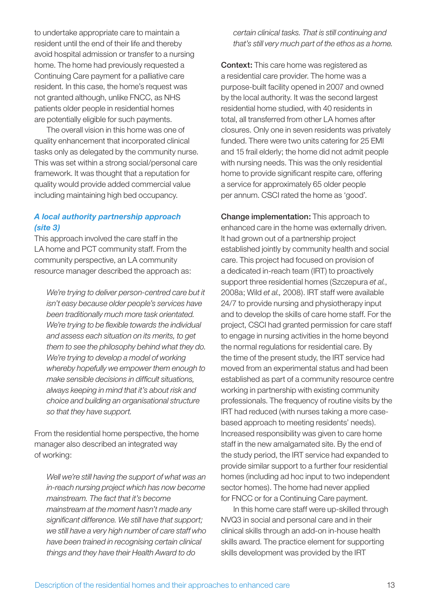to undertake appropriate care to maintain a resident until the end of their life and thereby avoid hospital admission or transfer to a nursing home. The home had previously requested a Continuing Care payment for a palliative care resident. In this case, the home's request was not granted although, unlike FNCC, as NHS patients older people in residential homes are potentially eligible for such payments.

 The overall vision in this home was one of quality enhancement that incorporated clinical tasks only as delegated by the community nurse. This was set within a strong social/personal care framework. It was thought that a reputation for quality would provide added commercial value including maintaining high bed occupancy.

#### *A local authority partnership approach (site 3)*

This approach involved the care staff in the LA home and PCT community staff. From the community perspective, an LA community resource manager described the approach as:

*We're trying to deliver person-centred care but it isn't easy because older people's services have been traditionally much more task orientated.*  We're trying to be flexible towards the individual *and assess each situation on its merits, to get them to see the philosophy behind what they do. We're trying to develop a model of working whereby hopefully we empower them enough to make sensible decisions in difficult situations, always keeping in mind that it's about risk and choice and building an organisational structure so that they have support.*

From the residential home perspective, the home manager also described an integrated way of working:

*Well we're still having the support of what was an in-reach nursing project which has now become mainstream. The fact that it's become mainstream at the moment hasn't made any*  significant difference. We still have that support; *we still have a very high number of care staff who have been trained in recognising certain clinical things and they have their Health Award to do* 

*certain clinical tasks. That is still continuing and that's still very much part of the ethos as a home.*

**Context:** This care home was registered as a residential care provider. The home was a purpose-built facility opened in 2007 and owned by the local authority. It was the second largest residential home studied, with 40 residents in total, all transferred from other LA homes after closures. Only one in seven residents was privately funded. There were two units catering for 25 EMI and 15 frail elderly; the home did not admit people with nursing needs. This was the only residential home to provide significant respite care, offering a service for approximately 65 older people per annum. CSCI rated the home as 'good'.

**Change implementation:** This approach to enhanced care in the home was externally driven. It had grown out of a partnership project established jointly by community health and social care. This project had focused on provision of a dedicated in-reach team (IRT) to proactively support three residential homes (Szczepura *et al.*, 2008a; Wild *et al.,* 2008). IRT staff were available 24/7 to provide nursing and physiotherapy input and to develop the skills of care home staff. For the project, CSCI had granted permission for care staff to engage in nursing activities in the home beyond the normal regulations for residential care. By the time of the present study, the IRT service had moved from an experimental status and had been established as part of a community resource centre working in partnership with existing community professionals. The frequency of routine visits by the IRT had reduced (with nurses taking a more casebased approach to meeting residents' needs). Increased responsibility was given to care home staff in the new amalgamated site. By the end of the study period, the IRT service had expanded to provide similar support to a further four residential homes (including ad hoc input to two independent sector homes). The home had never applied for FNCC or for a Continuing Care payment.

 In this home care staff were up-skilled through NVQ3 in social and personal care and in their clinical skills through an add-on in-house health skills award. The practice element for supporting skills development was provided by the IRT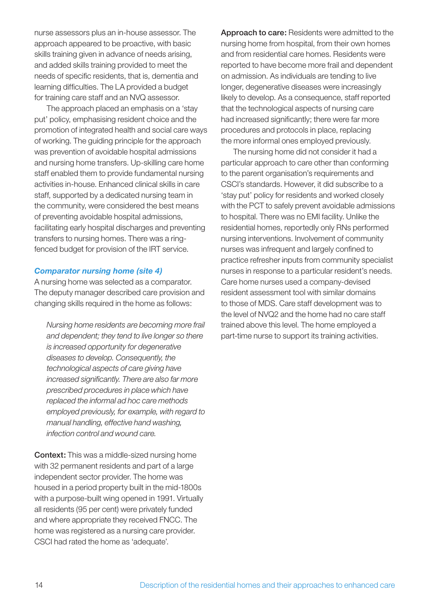nurse assessors plus an in-house assessor. The approach appeared to be proactive, with basic skills training given in advance of needs arising, and added skills training provided to meet the needs of specific residents, that is, dementia and learning difficulties. The LA provided a budget for training care staff and an NVQ assessor.

 The approach placed an emphasis on a 'stay put' policy, emphasising resident choice and the promotion of integrated health and social care ways of working. The guiding principle for the approach was prevention of avoidable hospital admissions and nursing home transfers. Up-skilling care home staff enabled them to provide fundamental nursing activities in-house. Enhanced clinical skills in care staff, supported by a dedicated nursing team in the community, were considered the best means of preventing avoidable hospital admissions, facilitating early hospital discharges and preventing transfers to nursing homes. There was a ringfenced budget for provision of the IRT service.

#### *Comparator nursing home (site 4)*

A nursing home was selected as a comparator. The deputy manager described care provision and changing skills required in the home as follows:

*Nursing home residents are becoming more frail and dependent; they tend to live longer so there is increased opportunity for degenerative diseases to develop. Consequently, the technological aspects of care giving have*  increased significantly. There are also far more *prescribed procedures in place which have replaced the informal ad hoc care methods employed previously, for example, with regard to manual handling, effective hand washing, infection control and wound care.*

**Context:** This was a middle-sized nursing home with 32 permanent residents and part of a large independent sector provider. The home was housed in a period property built in the mid-1800s with a purpose-built wing opened in 1991. Virtually all residents (95 per cent) were privately funded and where appropriate they received FNCC. The home was registered as a nursing care provider. CSCI had rated the home as 'adequate'.

**Approach to care:** Residents were admitted to the nursing home from hospital, from their own homes and from residential care homes. Residents were reported to have become more frail and dependent on admission. As individuals are tending to live longer, degenerative diseases were increasingly likely to develop. As a consequence, staff reported that the technological aspects of nursing care had increased significantly; there were far more procedures and protocols in place, replacing the more informal ones employed previously.

 The nursing home did not consider it had a particular approach to care other than conforming to the parent organisation's requirements and CSCI's standards. However, it did subscribe to a 'stay put' policy for residents and worked closely with the PCT to safely prevent avoidable admissions to hospital. There was no EMI facility. Unlike the residential homes, reportedly only RNs performed nursing interventions. Involvement of community nurses was infrequent and largely confined to practice refresher inputs from community specialist nurses in response to a particular resident's needs. Care home nurses used a company-devised resident assessment tool with similar domains to those of MDS. Care staff development was to the level of NVQ2 and the home had no care staff trained above this level. The home employed a part-time nurse to support its training activities.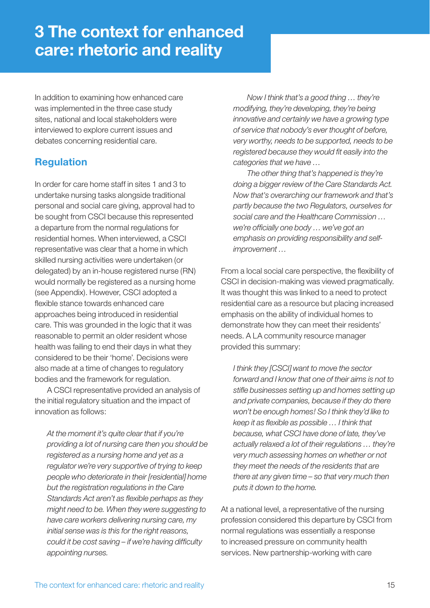In addition to examining how enhanced care was implemented in the three case study sites, national and local stakeholders were interviewed to explore current issues and debates concerning residential care.

## **Regulation**

In order for care home staff in sites 1 and 3 to undertake nursing tasks alongside traditional personal and social care giving, approval had to be sought from CSCI because this represented a departure from the normal regulations for residential homes. When interviewed, a CSCI representative was clear that a home in which skilled nursing activities were undertaken (or delegated) by an in-house registered nurse (RN) would normally be registered as a nursing home (see Appendix). However, CSCI adopted a flexible stance towards enhanced care approaches being introduced in residential care. This was grounded in the logic that it was reasonable to permit an older resident whose health was failing to end their days in what they considered to be their 'home'. Decisions were also made at a time of changes to regulatory bodies and the framework for regulation.

 A CSCI representative provided an analysis of the initial regulatory situation and the impact of innovation as follows:

*At the moment it's quite clear that if you're providing a lot of nursing care then you should be registered as a nursing home and yet as a regulator we're very supportive of trying to keep people who deteriorate in their [residential] home but the registration regulations in the Care Standards Act aren't as flexible perhaps as they might need to be. When they were suggesting to have care workers delivering nursing care, my initial sense was is this for the right reasons, could it be cost saving – if we're having difficulty appointing nurses.* 

 *Now I think that's a good thing … they're modifying, they're developing, they're being innovative and certainly we have a growing type of service that nobody's ever thought of before, very worthy, needs to be supported, needs to be*  registered because they would fit easily into the *categories that we have …* 

 *The other thing that's happened is they're doing a bigger review of the Care Standards Act. Now that's overarching our framework and that's partly because the two Regulators, ourselves for social care and the Healthcare Commission …*  we're officially one body ... we've got an *emphasis on providing responsibility and selfimprovement …* 

From a local social care perspective, the flexibility of CSCI in decision-making was viewed pragmatically. It was thought this was linked to a need to protect residential care as a resource but placing increased emphasis on the ability of individual homes to demonstrate how they can meet their residents' needs. A LA community resource manager provided this summary:

*I think they [CSCI] want to move the sector forward and I know that one of their aims is not to*  stifle businesses setting up and homes setting up *and private companies, because if they do there won't be enough homes! So I think they'd like to*  keep it as flexible as possible ... I think that *because, what CSCI have done of late, they've actually relaxed a lot of their regulations … they're very much assessing homes on whether or not they meet the needs of the residents that are there at any given time – so that very much then puts it down to the home.* 

At a national level, a representative of the nursing profession considered this departure by CSCI from normal regulations was essentially a response to increased pressure on community health services. New partnership-working with care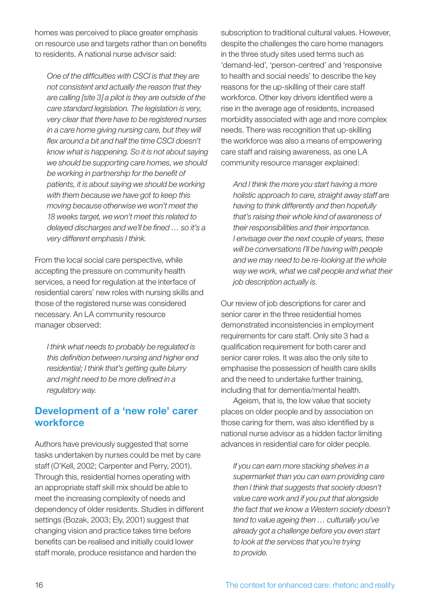homes was perceived to place greater emphasis on resource use and targets rather than on benefits to residents. A national nurse advisor said:

**One of the difficulties with CSCI is that they are** *not consistent and actually the reason that they are calling [site 3] a pilot is they are outside of the care standard legislation. The legislation is very, very clear that there have to be registered nurses in a care home giving nursing care, but they will*  flex around a bit and half the time CSCI doesn't *know what is happening. So it is not about saying we should be supporting care homes, we should be working in partnership for the benefi t of patients, it is about saying we should be working with them because we have got to keep this moving because otherwise we won't meet the 18 weeks target, we won't meet this related to*  delayed discharges and we'll be fined ... so it's a *very different emphasis I think.*

From the local social care perspective, while accepting the pressure on community health services, a need for regulation at the interface of residential carers' new roles with nursing skills and those of the registered nurse was considered necessary. An LA community resource manager observed:

*I think what needs to probably be regulated is this defi nition between nursing and higher end residential; I think that's getting quite blurry*  and might need to be more defined in a *regulatory way.*

### **Development of a 'new role' carer workforce**

Authors have previously suggested that some tasks undertaken by nurses could be met by care staff (O'Kell, 2002; Carpenter and Perry, 2001). Through this, residential homes operating with an appropriate staff skill mix should be able to meet the increasing complexity of needs and dependency of older residents. Studies in different settings (Bozak, 2003; Ely, 2001) suggest that changing vision and practice takes time before benefits can be realised and initially could lower staff morale, produce resistance and harden the

subscription to traditional cultural values. However, despite the challenges the care home managers in the three study sites used terms such as 'demand-led', 'person-centred' and 'responsive to health and social needs' to describe the key reasons for the up-skilling of their care staff workforce. Other key drivers identified were a rise in the average age of residents, increased morbidity associated with age and more complex needs. There was recognition that up-skilling the workforce was also a means of empowering care staff and raising awareness, as one LA community resource manager explained:

*And I think the more you start having a more holistic approach to care, straight away staff are having to think differently and then hopefully that's raising their whole kind of awareness of their responsibilities and their importance. I envisage over the next couple of years, these will be conversations I'll be having with people and we may need to be re-looking at the whole way we work, what we call people and what their job description actually is.*

Our review of job descriptions for carer and senior carer in the three residential homes demonstrated inconsistencies in employment requirements for care staff. Only site 3 had a qualification requirement for both carer and senior carer roles. It was also the only site to emphasise the possession of health care skills and the need to undertake further training, including that for dementia/mental health.

 Ageism, that is, the low value that society places on older people and by association on those caring for them, was also identified by a national nurse advisor as a hidden factor limiting advances in residential care for older people.

*If you can earn more stacking shelves in a supermarket than you can earn providing care then I think that suggests that society doesn't value care work and if you put that alongside the fact that we know a Western society doesn't tend to value ageing then … culturally you've already got a challenge before you even start to look at the services that you're trying to provide.*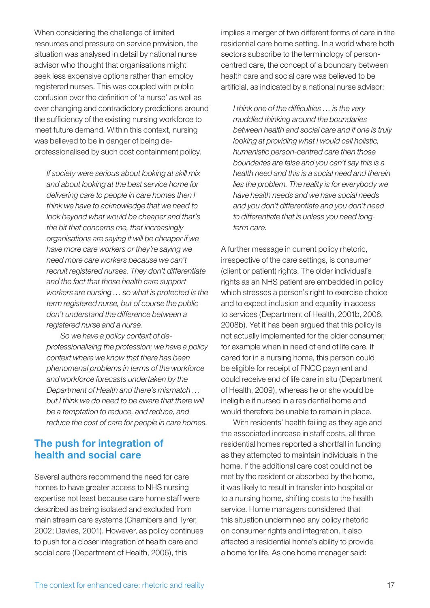When considering the challenge of limited resources and pressure on service provision, the situation was analysed in detail by national nurse advisor who thought that organisations might seek less expensive options rather than employ registered nurses. This was coupled with public confusion over the definition of 'a nurse' as well as ever changing and contradictory predictions around the sufficiency of the existing nursing workforce to meet future demand. Within this context, nursing was believed to be in danger of being deprofessionalised by such cost containment policy.

*If society were serious about looking at skill mix and about looking at the best service home for delivering care to people in care homes then I think we have to acknowledge that we need to look beyond what would be cheaper and that's the bit that concerns me, that increasingly organisations are saying it will be cheaper if we have more care workers or they're saying we need more care workers because we can't recruit registered nurses. They don't differentiate and the fact that those health care support workers are nursing … so what is protected is the term registered nurse, but of course the public don't understand the difference between a registered nurse and a nurse.* 

 *So we have a policy context of deprofessionalising the profession; we have a policy context where we know that there has been phenomenal problems in terms of the workforce and workforce forecasts undertaken by the Department of Health and there's mismatch … but I think we do need to be aware that there will be a temptation to reduce, and reduce, and reduce the cost of care for people in care homes.*

### **The push for integration of health and social care**

Several authors recommend the need for care homes to have greater access to NHS nursing expertise not least because care home staff were described as being isolated and excluded from main stream care systems (Chambers and Tyrer, 2002; Davies, 2001). However, as policy continues to push for a closer integration of health care and social care (Department of Health, 2006), this

implies a merger of two different forms of care in the residential care home setting. In a world where both sectors subscribe to the terminology of personcentred care, the concept of a boundary between health care and social care was believed to be artificial, as indicated by a national nurse advisor:

*I think one of the difficulties ... is the very muddled thinking around the boundaries between health and social care and if one is truly looking at providing what I would call holistic, humanistic person-centred care then those boundaries are false and you can't say this is a health need and this is a social need and therein lies the problem. The reality is for everybody we have health needs and we have social needs and you don't differentiate and you don't need to differentiate that is unless you need longterm care.*

A further message in current policy rhetoric, irrespective of the care settings, is consumer (client or patient) rights. The older individual's rights as an NHS patient are embedded in policy which stresses a person's right to exercise choice and to expect inclusion and equality in access to services (Department of Health, 2001b, 2006, 2008b). Yet it has been argued that this policy is not actually implemented for the older consumer, for example when in need of end of life care. If cared for in a nursing home, this person could be eligible for receipt of FNCC payment and could receive end of life care in situ (Department of Health, 2009), whereas he or she would be ineligible if nursed in a residential home and would therefore be unable to remain in place.

 With residents' health failing as they age and the associated increase in staff costs, all three residential homes reported a shortfall in funding as they attempted to maintain individuals in the home. If the additional care cost could not be met by the resident or absorbed by the home, it was likely to result in transfer into hospital or to a nursing home, shifting costs to the health service. Home managers considered that this situation undermined any policy rhetoric on consumer rights and integration. It also affected a residential home's ability to provide a home for life. As one home manager said: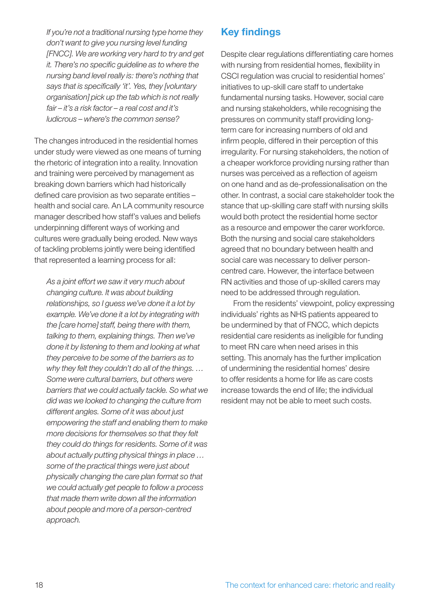*If you're not a traditional nursing type home they don't want to give you nursing level funding [FNCC]. We are working very hard to try and get it. There's no specific guideline as to where the nursing band level really is: there's nothing that*  says that is specifically 'it'. Yes, they *[voluntary organisation] pick up the tab which is not really fair – it's a risk factor – a real cost and it's ludicrous – where's the common sense?*

The changes introduced in the residential homes under study were viewed as one means of turning the rhetoric of integration into a reality. Innovation and training were perceived by management as breaking down barriers which had historically defined care provision as two separate entities health and social care. An LA community resource manager described how staff's values and beliefs underpinning different ways of working and cultures were gradually being eroded. New ways of tackling problems jointly were being identified that represented a learning process for all:

*As a joint effort we saw it very much about changing culture. It was about building relationships, so I guess we've done it a lot by example. We've done it a lot by integrating with the [care home] staff, being there with them, talking to them, explaining things. Then we've done it by listening to them and looking at what they perceive to be some of the barriers as to why they felt they couldn't do all of the things. … Some were cultural barriers, but others were barriers that we could actually tackle. So what we did was we looked to changing the culture from different angles. Some of it was about just empowering the staff and enabling them to make more decisions for themselves so that they felt they could do things for residents. Some of it was about actually putting physical things in place … some of the practical things were just about physically changing the care plan format so that we could actually get people to follow a process that made them write down all the information about people and more of a person-centred approach.*

## **Key findings**

Despite clear regulations differentiating care homes with nursing from residential homes, flexibility in CSCI regulation was crucial to residential homes' initiatives to up-skill care staff to undertake fundamental nursing tasks. However, social care and nursing stakeholders, while recognising the pressures on community staff providing longterm care for increasing numbers of old and infirm people, differed in their perception of this irregularity. For nursing stakeholders, the notion of a cheaper workforce providing nursing rather than nurses was perceived as a reflection of ageism on one hand and as de-professionalisation on the other. In contrast, a social care stakeholder took the stance that up-skilling care staff with nursing skills would both protect the residential home sector as a resource and empower the carer workforce. Both the nursing and social care stakeholders agreed that no boundary between health and social care was necessary to deliver personcentred care. However, the interface between RN activities and those of up-skilled carers may need to be addressed through regulation.

 From the residents' viewpoint, policy expressing individuals' rights as NHS patients appeared to be undermined by that of FNCC, which depicts residential care residents as ineligible for funding to meet RN care when need arises in this setting. This anomaly has the further implication of undermining the residential homes' desire to offer residents a home for life as care costs increase towards the end of life; the individual resident may not be able to meet such costs.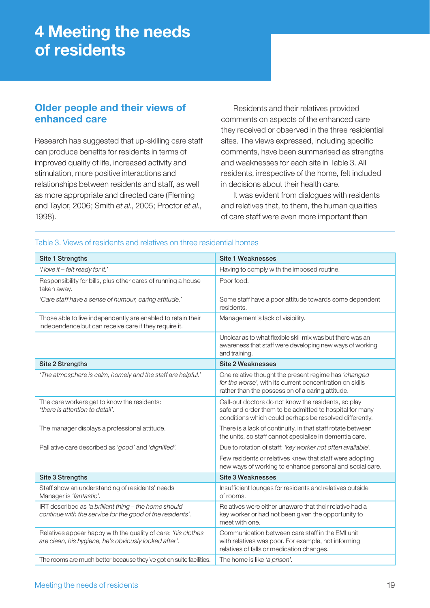## **4 Meeting the needs of residents**

## **Older people and their views of enhanced care**

Research has suggested that up-skilling care staff can produce benefits for residents in terms of improved quality of life, increased activity and stimulation, more positive interactions and relationships between residents and staff, as well as more appropriate and directed care (Fleming and Taylor, 2006; Smith *et al.*, 2005; Proctor *et al.*, 1998).

 Residents and their relatives provided comments on aspects of the enhanced care they received or observed in the three residential sites. The views expressed, including specific comments, have been summarised as strengths and weaknesses for each site in Table 3. All residents, irrespective of the home, felt included in decisions about their health care.

 It was evident from dialogues with residents and relatives that, to them, the human qualities of care staff were even more important than

| Site 1 Strengths                                                                                                       | <b>Site 1 Weaknesses</b>                                                                                                                                                  |
|------------------------------------------------------------------------------------------------------------------------|---------------------------------------------------------------------------------------------------------------------------------------------------------------------------|
| 'I love it $-$ felt ready for it.'                                                                                     | Having to comply with the imposed routine.                                                                                                                                |
| Responsibility for bills, plus other cares of running a house<br>taken away.                                           | Poor food.                                                                                                                                                                |
| 'Care staff have a sense of humour, caring attitude.'                                                                  | Some staff have a poor attitude towards some dependent<br>residents.                                                                                                      |
| Those able to live independently are enabled to retain their<br>independence but can receive care if they require it.  | Management's lack of visibility.                                                                                                                                          |
|                                                                                                                        | Unclear as to what flexible skill mix was but there was an<br>awareness that staff were developing new ways of working<br>and training.                                   |
| Site 2 Strengths                                                                                                       | <b>Site 2 Weaknesses</b>                                                                                                                                                  |
| 'The atmosphere is calm, homely and the staff are helpful.'                                                            | One relative thought the present regime has 'changed<br>for the worse', with its current concentration on skills<br>rather than the possession of a caring attitude.      |
| The care workers get to know the residents:<br>'there is attention to detail'.                                         | Call-out doctors do not know the residents, so play<br>safe and order them to be admitted to hospital for many<br>conditions which could perhaps be resolved differently. |
| The manager displays a professional attitude.                                                                          | There is a lack of continuity, in that staff rotate between<br>the units, so staff cannot specialise in dementia care.                                                    |
| Palliative care described as 'good' and 'dignified'.                                                                   | Due to rotation of staff: 'key worker not often available'.                                                                                                               |
|                                                                                                                        | Few residents or relatives knew that staff were adopting<br>new ways of working to enhance personal and social care.                                                      |
| Site 3 Strengths                                                                                                       | <b>Site 3 Weaknesses</b>                                                                                                                                                  |
| Staff show an understanding of residents' needs<br>Manager is 'fantastic'.                                             | Insufficient lounges for residents and relatives outside<br>of rooms.                                                                                                     |
| IRT described as 'a brilliant thing - the home should<br>continue with the service for the good of the residents'.     | Relatives were either unaware that their relative had a<br>key worker or had not been given the opportunity to<br>meet with one.                                          |
| Relatives appear happy with the quality of care: 'his clothes<br>are clean, his hygiene, he's obviously looked after'. | Communication between care staff in the EMI unit<br>with relatives was poor. For example, not informing<br>relatives of falls or medication changes.                      |
| The rooms are much better because they've got en suite facilities.                                                     | The home is like 'a prison'.                                                                                                                                              |

#### Table 3. Views of residents and relatives on three residential homes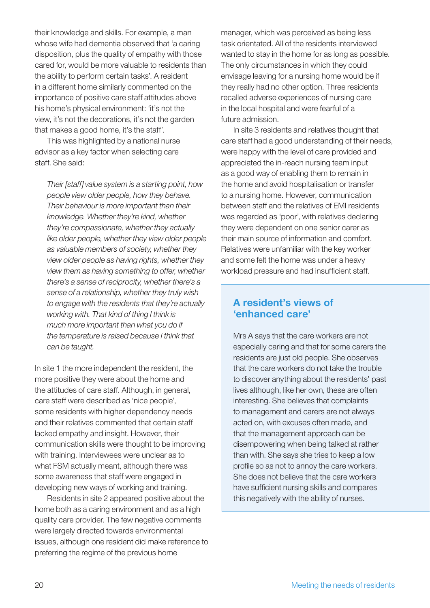their knowledge and skills. For example, a man whose wife had dementia observed that 'a caring disposition, plus the quality of empathy with those cared for, would be more valuable to residents than the ability to perform certain tasks'. A resident in a different home similarly commented on the importance of positive care staff attitudes above his home's physical environment: 'it's not the view, it's not the decorations, it's not the garden that makes a good home, it's the staff'.

 This was highlighted by a national nurse advisor as a key factor when selecting care staff. She said:

*Their [staff] value system is a starting point, how people view older people, how they behave. Their behaviour is more important than their knowledge. Whether they're kind, whether they're compassionate, whether they actually like older people, whether they view older people as valuable members of society, whether they view older people as having rights, whether they view them as having something to offer, whether there's a sense of reciprocity, whether there's a sense of a relationship, whether they truly wish to engage with the residents that they're actually working with. That kind of thing I think is much more important than what you do if the temperature is raised because I think that can be taught.*

In site 1 the more independent the resident, the more positive they were about the home and the attitudes of care staff. Although, in general, care staff were described as 'nice people', some residents with higher dependency needs and their relatives commented that certain staff lacked empathy and insight. However, their communication skills were thought to be improving with training. Interviewees were unclear as to what FSM actually meant, although there was some awareness that staff were engaged in developing new ways of working and training.

 Residents in site 2 appeared positive about the home both as a caring environment and as a high quality care provider. The few negative comments were largely directed towards environmental issues, although one resident did make reference to preferring the regime of the previous home

manager, which was perceived as being less task orientated. All of the residents interviewed wanted to stay in the home for as long as possible. The only circumstances in which they could envisage leaving for a nursing home would be if they really had no other option. Three residents recalled adverse experiences of nursing care in the local hospital and were fearful of a future admission.

 In site 3 residents and relatives thought that care staff had a good understanding of their needs, were happy with the level of care provided and appreciated the in-reach nursing team input as a good way of enabling them to remain in the home and avoid hospitalisation or transfer to a nursing home. However, communication between staff and the relatives of EMI residents was regarded as 'poor', with relatives declaring they were dependent on one senior carer as their main source of information and comfort. Relatives were unfamiliar with the key worker and some felt the home was under a heavy workload pressure and had insufficient staff.

## **A resident's views of 'enhanced care'**

Mrs A says that the care workers are not especially caring and that for some carers the residents are just old people. She observes that the care workers do not take the trouble to discover anything about the residents' past lives although, like her own, these are often interesting. She believes that complaints to management and carers are not always acted on, with excuses often made, and that the management approach can be disempowering when being talked at rather than with. She says she tries to keep a low profile so as not to annoy the care workers. She does not believe that the care workers have sufficient nursing skills and compares this negatively with the ability of nurses.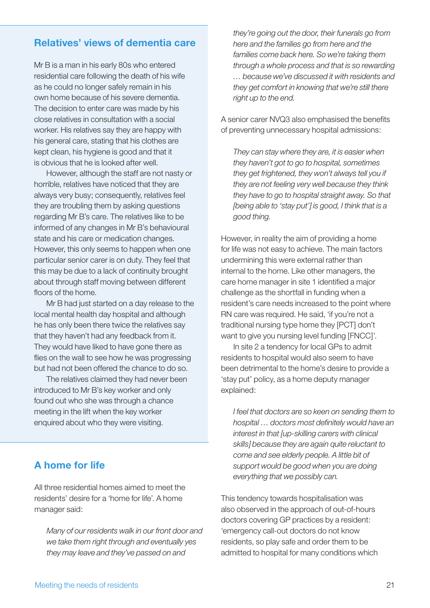### **Relatives' views of dementia care**

Mr B is a man in his early 80s who entered residential care following the death of his wife as he could no longer safely remain in his own home because of his severe dementia. The decision to enter care was made by his close relatives in consultation with a social worker. His relatives say they are happy with his general care, stating that his clothes are kept clean, his hygiene is good and that it is obvious that he is looked after well.

 However, although the staff are not nasty or horrible, relatives have noticed that they are always very busy; consequently, relatives feel they are troubling them by asking questions regarding Mr B's care. The relatives like to be informed of any changes in Mr B's behavioural state and his care or medication changes. However, this only seems to happen when one particular senior carer is on duty. They feel that this may be due to a lack of continuity brought about through staff moving between different floors of the home.

 Mr B had just started on a day release to the local mental health day hospital and although he has only been there twice the relatives say that they haven't had any feedback from it. They would have liked to have gone there as flies on the wall to see how he was progressing but had not been offered the chance to do so.

 The relatives claimed they had never been introduced to Mr B's key worker and only found out who she was through a chance meeting in the lift when the key worker enquired about who they were visiting.

## **A home for life**

All three residential homes aimed to meet the residents' desire for a 'home for life'. A home manager said:

*Many of our residents walk in our front door and we take them right through and eventually yes they may leave and they've passed on and* 

*they're going out the door, their funerals go from here and the families go from here and the families come back here. So we're taking them through a whole process and that is so rewarding … because we've discussed it with residents and they get comfort in knowing that we're still there right up to the end.* 

A senior carer NVQ3 also emphasised the benefits of preventing unnecessary hospital admissions:

*They can stay where they are, it is easier when they haven't got to go to hospital, sometimes they get frightened, they won't always tell you if they are not feeling very well because they think they have to go to hospital straight away. So that [being able to 'stay put'] is good, I think that is a good thing.*

However, in reality the aim of providing a home for life was not easy to achieve. The main factors undermining this were external rather than internal to the home. Like other managers, the care home manager in site 1 identified a major challenge as the shortfall in funding when a resident's care needs increased to the point where RN care was required. He said, 'if you're not a traditional nursing type home they [PCT] don't want to give you nursing level funding [FNCC]'.

 In site 2 a tendency for local GPs to admit residents to hospital would also seem to have been detrimental to the home's desire to provide a 'stay put' policy, as a home deputy manager explained:

*I feel that doctors are so keen on sending them to*  hospital ... doctors most definitely would have an *interest in that [up-skilling carers with clinical skills] because they are again quite reluctant to come and see elderly people. A little bit of support would be good when you are doing everything that we possibly can.*

This tendency towards hospitalisation was also observed in the approach of out-of-hours doctors covering GP practices by a resident: 'emergency call-out doctors do not know residents, so play safe and order them to be admitted to hospital for many conditions which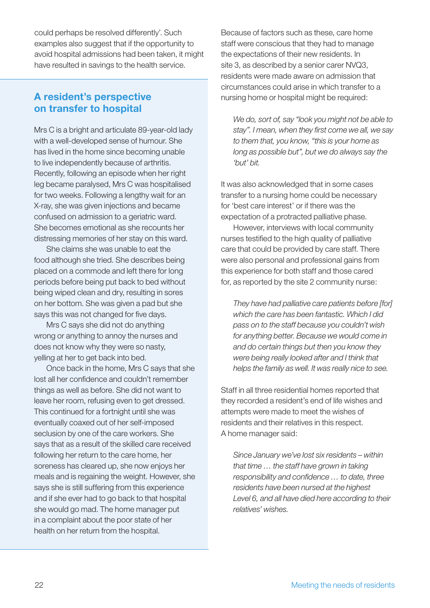could perhaps be resolved differently'. Such examples also suggest that if the opportunity to avoid hospital admissions had been taken, it might have resulted in savings to the health service.

## **A resident's perspective on transfer to hospital**

Mrs C is a bright and articulate 89-year-old lady with a well-developed sense of humour. She has lived in the home since becoming unable to live independently because of arthritis. Recently, following an episode when her right leg became paralysed, Mrs C was hospitalised for two weeks. Following a lengthy wait for an X-ray, she was given injections and became confused on admission to a geriatric ward. She becomes emotional as she recounts her distressing memories of her stay on this ward.

 She claims she was unable to eat the food although she tried. She describes being placed on a commode and left there for long periods before being put back to bed without being wiped clean and dry, resulting in sores on her bottom. She was given a pad but she says this was not changed for five days.

 Mrs C says she did not do anything wrong or anything to annoy the nurses and does not know why they were so nasty, yelling at her to get back into bed.

 Once back in the home, Mrs C says that she lost all her confidence and couldn't remember things as well as before. She did not want to leave her room, refusing even to get dressed. This continued for a fortnight until she was eventually coaxed out of her self-imposed seclusion by one of the care workers. She says that as a result of the skilled care received following her return to the care home, her soreness has cleared up, she now enjoys her meals and is regaining the weight. However, she says she is still suffering from this experience and if she ever had to go back to that hospital she would go mad. The home manager put in a complaint about the poor state of her health on her return from the hospital.

Because of factors such as these, care home staff were conscious that they had to manage the expectations of their new residents. In site 3, as described by a senior carer NVQ3, residents were made aware on admission that circumstances could arise in which transfer to a nursing home or hospital might be required:

*We do, sort of, say "look you might not be able to*  stay". I mean, when they first come we all, we say *to them that, you know, "this is your home as long as possible but", but we do always say the 'but' bit.*

It was also acknowledged that in some cases transfer to a nursing home could be necessary for 'best care interest' or if there was the expectation of a protracted palliative phase.

 However, interviews with local community nurses testified to the high quality of palliative care that could be provided by care staff. There were also personal and professional gains from this experience for both staff and those cared for, as reported by the site 2 community nurse:

*They have had palliative care patients before [for] which the care has been fantastic. Which I did pass on to the staff because you couldn't wish for anything better. Because we would come in and do certain things but then you know they were being really looked after and I think that helps the family as well. It was really nice to see.*

Staff in all three residential homes reported that they recorded a resident's end of life wishes and attempts were made to meet the wishes of residents and their relatives in this respect. A home manager said:

*Since January we've lost six residents – within that time … the staff have grown in taking responsibility and confidence ... to date, three residents have been nursed at the highest Level 6, and all have died here according to their relatives' wishes.*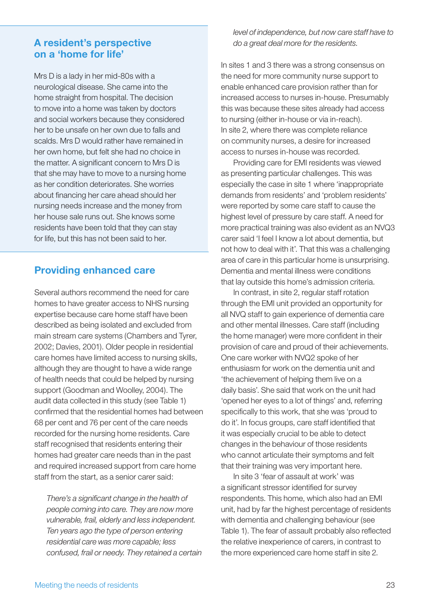### **A resident's perspective on a 'home for life'**

Mrs D is a lady in her mid-80s with a neurological disease. She came into the home straight from hospital. The decision to move into a home was taken by doctors and social workers because they considered her to be unsafe on her own due to falls and scalds. Mrs D would rather have remained in her own home, but felt she had no choice in the matter. A significant concern to Mrs D is that she may have to move to a nursing home as her condition deteriorates. She worries about financing her care ahead should her nursing needs increase and the money from her house sale runs out. She knows some residents have been told that they can stay for life, but this has not been said to her.

## **Providing enhanced care**

Several authors recommend the need for care homes to have greater access to NHS nursing expertise because care home staff have been described as being isolated and excluded from main stream care systems (Chambers and Tyrer, 2002; Davies, 2001). Older people in residential care homes have limited access to nursing skills, although they are thought to have a wide range of health needs that could be helped by nursing support (Goodman and Woolley, 2004). The audit data collected in this study (see Table 1) confirmed that the residential homes had between 68 per cent and 76 per cent of the care needs recorded for the nursing home residents. Care staff recognised that residents entering their homes had greater care needs than in the past and required increased support from care home staff from the start, as a senior carer said:

**There's a significant change in the health of** *people coming into care. They are now more vulnerable, frail, elderly and less independent. Ten years ago the type of person entering residential care was more capable; less confused, frail or needy. They retained a certain*  *level of independence, but now care staff have to do a great deal more for the residents.*

In sites 1 and 3 there was a strong consensus on the need for more community nurse support to enable enhanced care provision rather than for increased access to nurses in-house. Presumably this was because these sites already had access to nursing (either in-house or via in-reach). In site 2, where there was complete reliance on community nurses, a desire for increased access to nurses in-house was recorded.

 Providing care for EMI residents was viewed as presenting particular challenges. This was especially the case in site 1 where 'inappropriate demands from residents' and 'problem residents' were reported by some care staff to cause the highest level of pressure by care staff. A need for more practical training was also evident as an NVQ3 carer said 'I feel I know a lot about dementia, but not how to deal with it'. That this was a challenging area of care in this particular home is unsurprising. Dementia and mental illness were conditions that lay outside this home's admission criteria.

 In contrast, in site 2, regular staff rotation through the EMI unit provided an opportunity for all NVQ staff to gain experience of dementia care and other mental illnesses. Care staff (including the home manager) were more confident in their provision of care and proud of their achievements. One care worker with NVQ2 spoke of her enthusiasm for work on the dementia unit and 'the achievement of helping them live on a daily basis'. She said that work on the unit had 'opened her eyes to a lot of things' and, referring specifically to this work, that she was 'proud to do it'. In focus groups, care staff identified that it was especially crucial to be able to detect changes in the behaviour of those residents who cannot articulate their symptoms and felt that their training was very important here.

 In site 3 'fear of assault at work' was a significant stressor identified for survey respondents. This home, which also had an EMI unit, had by far the highest percentage of residents with dementia and challenging behaviour (see Table 1). The fear of assault probably also reflected the relative inexperience of carers, in contrast to the more experienced care home staff in site 2.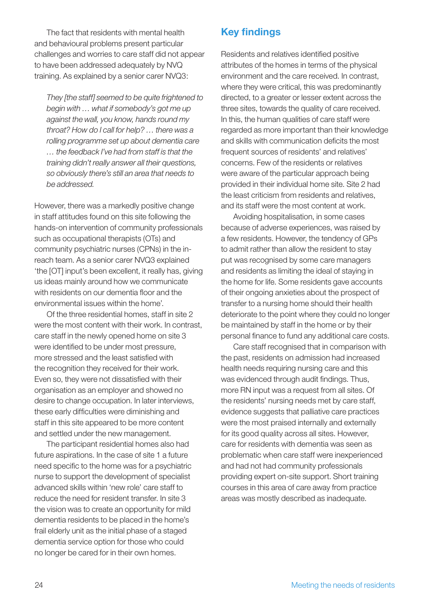The fact that residents with mental health and behavioural problems present particular challenges and worries to care staff did not appear to have been addressed adequately by NVQ training. As explained by a senior carer NVQ3:

*They [the staff] seemed to be quite frightened to begin with … what if somebody's got me up against the wall, you know, hands round my throat? How do I call for help? … there was a rolling programme set up about dementia care … the feedback I've had from staff is that the training didn't really answer all their questions, so obviously there's still an area that needs to be addressed.*

However, there was a markedly positive change in staff attitudes found on this site following the hands-on intervention of community professionals such as occupational therapists (OTs) and community psychiatric nurses (CPNs) in the inreach team. As a senior carer NVQ3 explained 'the [OT] input's been excellent, it really has, giving us ideas mainly around how we communicate with residents on our dementia floor and the environmental issues within the home'.

 Of the three residential homes, staff in site 2 were the most content with their work. In contrast, care staff in the newly opened home on site 3 were identified to be under most pressure, more stressed and the least satisfied with the recognition they received for their work. Even so, they were not dissatisfied with their organisation as an employer and showed no desire to change occupation. In later interviews, these early difficulties were diminishing and staff in this site appeared to be more content and settled under the new management.

 The participant residential homes also had future aspirations. In the case of site 1 a future need specific to the home was for a psychiatric nurse to support the development of specialist advanced skills within 'new role' care staff to reduce the need for resident transfer. In site 3 the vision was to create an opportunity for mild dementia residents to be placed in the home's frail elderly unit as the initial phase of a staged dementia service option for those who could no longer be cared for in their own homes.

## **Key findings**

Residents and relatives identified positive attributes of the homes in terms of the physical environment and the care received. In contrast, where they were critical, this was predominantly directed, to a greater or lesser extent across the three sites, towards the quality of care received. In this, the human qualities of care staff were regarded as more important than their knowledge and skills with communication deficits the most frequent sources of residents' and relatives' concerns. Few of the residents or relatives were aware of the particular approach being provided in their individual home site. Site 2 had the least criticism from residents and relatives, and its staff were the most content at work.

 Avoiding hospitalisation, in some cases because of adverse experiences, was raised by a few residents. However, the tendency of GPs to admit rather than allow the resident to stay put was recognised by some care managers and residents as limiting the ideal of staying in the home for life. Some residents gave accounts of their ongoing anxieties about the prospect of transfer to a nursing home should their health deteriorate to the point where they could no longer be maintained by staff in the home or by their personal finance to fund any additional care costs.

 Care staff recognised that in comparison with the past, residents on admission had increased health needs requiring nursing care and this was evidenced through audit findings. Thus, more RN input was a request from all sites. Of the residents' nursing needs met by care staff, evidence suggests that palliative care practices were the most praised internally and externally for its good quality across all sites. However, care for residents with dementia was seen as problematic when care staff were inexperienced and had not had community professionals providing expert on-site support. Short training courses in this area of care away from practice areas was mostly described as inadequate.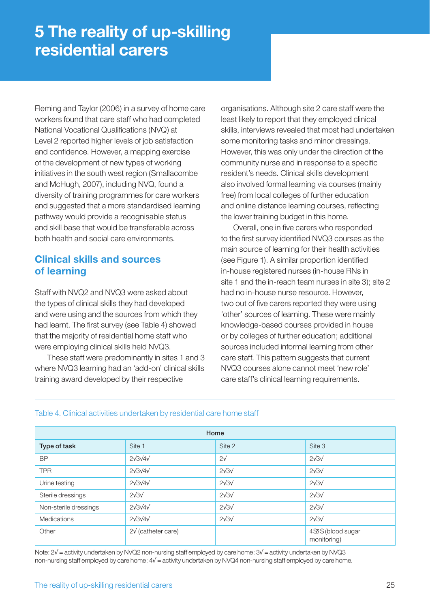Fleming and Taylor (2006) in a survey of home care workers found that care staff who had completed National Vocational Qualifications (NVQ) at Level 2 reported higher levels of job satisfaction and confidence. However, a mapping exercise of the development of new types of working initiatives in the south west region (Smallacombe and McHugh, 2007), including NVQ, found a diversity of training programmes for care workers and suggested that a more standardised learning pathway would provide a recognisable status and skill base that would be transferable across both health and social care environments.

## **Clinical skills and sources of learning**

Staff with NVQ2 and NVQ3 were asked about the types of clinical skills they had developed and were using and the sources from which they had learnt. The first survey (see Table 4) showed that the majority of residential home staff who were employing clinical skills held NVQ3.

 These staff were predominantly in sites 1 and 3 where NVQ3 learning had an 'add-on' clinical skills training award developed by their respective

organisations. Although site 2 care staff were the least likely to report that they employed clinical skills, interviews revealed that most had undertaken some monitoring tasks and minor dressings. However, this was only under the direction of the community nurse and in response to a specific resident's needs. Clinical skills development also involved formal learning via courses (mainly free) from local colleges of further education and online distance learning courses, reflecting the lower training budget in this home.

Overall, one in five carers who responded to the first survey identified NVQ3 courses as the main source of learning for their health activities (see Figure 1). A similar proportion identified in-house registered nurses (in-house RNs in site 1 and the in-reach team nurses in site 3); site 2 had no in-house nurse resource. However, two out of five carers reported they were using 'other' sources of learning. These were mainly knowledge-based courses provided in house or by colleges of further education; additional sources included informal learning from other care staff. This pattern suggests that current NVQ3 courses alone cannot meet 'new role' care staff's clinical learning requirements.

| Home                  |                                |                     |                                  |  |
|-----------------------|--------------------------------|---------------------|----------------------------------|--|
| Type of task          | Site 1                         | Site 2              | Site 3                           |  |
| <b>BP</b>             | $2\sqrt{3}\sqrt{4}\sqrt{2}$    | $2\sqrt{ }$         | $2\sqrt{3}\sqrt{3}$              |  |
| <b>TPR</b>            | $2\sqrt{3}\sqrt{4}\sqrt{2}$    | $2\sqrt{3}\sqrt{3}$ | $2\sqrt{3}\sqrt{3}$              |  |
| Urine testing         | $2\sqrt{3}\sqrt{4}\sqrt{2}$    | $2\sqrt{3}\sqrt{3}$ | $2\sqrt{3}\sqrt{3}$              |  |
| Sterile dressings     | $2\sqrt{3}\sqrt{3}$            | $2\sqrt{3}\sqrt{3}$ | $2\sqrt{3}\sqrt{3}$              |  |
| Non-sterile dressings | $2\sqrt{3}\sqrt{4}\sqrt{2}$    | $2\sqrt{3}\sqrt{3}$ | $2\sqrt{3}\sqrt{3}$              |  |
| Medications           | $2\sqrt{3}\sqrt{4}\sqrt{2}$    | $2\sqrt{3}\sqrt{3}$ | $2\sqrt{3}\sqrt{3}$              |  |
| Other                 | $2\sqrt{\text{(cather care)}}$ |                     | 4SSS (blood sugar<br>monitoring) |  |

#### Table 4. Clinical activities undertaken by residential care home staff

Note: 2√ = activity undertaken by NVQ2 non-nursing staff employed by care home; 3√ = activity undertaken by NVQ3 non-nursing staff employed by care home; 4√ = activity undertaken by NVQ4 non-nursing staff employed by care home.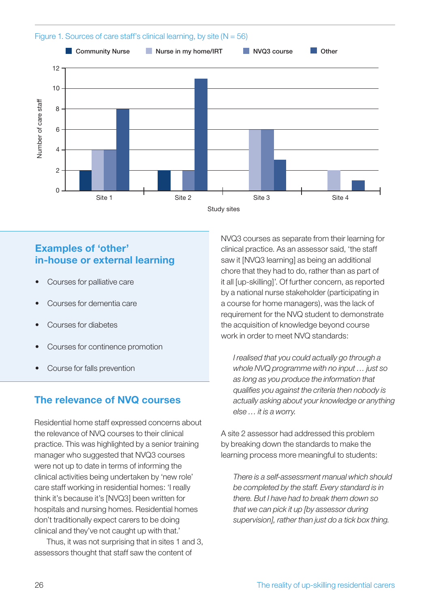

## **Examples of 'other' in-house or external learning**

- Courses for palliative care
- Courses for dementia care
- Courses for diabetes
- Courses for continence promotion
- 

## **The relevance of NVQ courses**

Residential home staff expressed concerns about the relevance of NVQ courses to their clinical practice. This was highlighted by a senior training manager who suggested that NVQ3 courses were not up to date in terms of informing the clinical activities being undertaken by 'new role' care staff working in residential homes: 'I really think it's because it's [NVQ3] been written for hospitals and nursing homes. Residential homes don't traditionally expect carers to be doing clinical and they've not caught up with that.'

 Thus, it was not surprising that in sites 1 and 3, assessors thought that staff saw the content of

NVQ3 courses as separate from their learning for clinical practice. As an assessor said, 'the staff saw it [NVQ3 learning] as being an additional chore that they had to do, rather than as part of it all [up-skilling]'. Of further concern, as reported by a national nurse stakeholder (participating in a course for home managers), was the lack of requirement for the NVQ student to demonstrate the acquisition of knowledge beyond course work in order to meet NVQ standards:

*I realised that you could actually go through a whole NVQ programme with no input … just so as long as you produce the information that qualifi es you against the criteria then nobody is actually asking about your knowledge or anything else … it is a worry.*

A site 2 assessor had addressed this problem by breaking down the standards to make the learning process more meaningful to students:

*There is a self-assessment manual which should be completed by the staff. Every standard is in there. But I have had to break them down so that we can pick it up [by assessor during supervision], rather than just do a tick box thing.*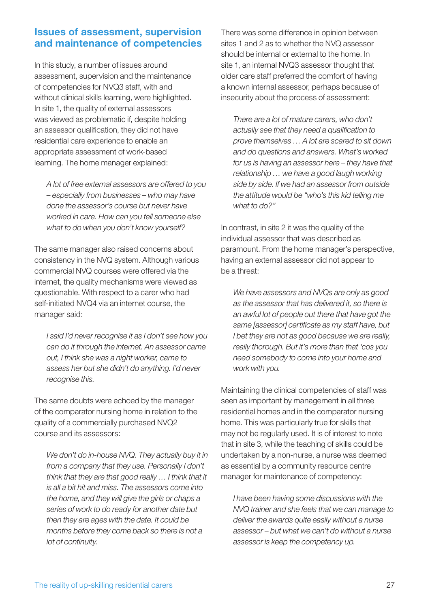## **Issues of assessment, supervision and maintenance of competencies**

In this study, a number of issues around assessment, supervision and the maintenance of competencies for NVQ3 staff, with and without clinical skills learning, were highlighted. In site 1, the quality of external assessors was viewed as problematic if, despite holding an assessor qualification, they did not have residential care experience to enable an appropriate assessment of work-based learning. The home manager explained:

*A lot of free external assessors are offered to you – especially from businesses – who may have done the assessor's course but never have worked in care. How can you tell someone else what to do when you don't know yourself?*

The same manager also raised concerns about consistency in the NVQ system. Although various commercial NVQ courses were offered via the internet, the quality mechanisms were viewed as questionable. With respect to a carer who had self-initiated NVQ4 via an internet course, the manager said:

*I said I'd never recognise it as I don't see how you can do it through the internet. An assessor came out, I think she was a night worker, came to assess her but she didn't do anything. I'd never recognise this.* 

The same doubts were echoed by the manager of the comparator nursing home in relation to the quality of a commercially purchased NVQ2 course and its assessors:

*We don't do in-house NVQ. They actually buy it in from a company that they use. Personally I don't think that they are that good really … I think that it is all a bit hit and miss. The assessors come into the home, and they will give the girls or chaps a series of work to do ready for another date but then they are ages with the date. It could be months before they come back so there is not a lot of continuity.*

There was some difference in opinion between sites 1 and 2 as to whether the NVQ assessor should be internal or external to the home. In site 1, an internal NVQ3 assessor thought that older care staff preferred the comfort of having a known internal assessor, perhaps because of insecurity about the process of assessment:

*There are a lot of mature carers, who don't actually see that they need a qualifi cation to prove themselves … A lot are scared to sit down and do questions and answers. What's worked for us is having an assessor here – they have that relationship … we have a good laugh working side by side. If we had an assessor from outside the attitude would be "who's this kid telling me what to do?"*

In contrast, in site 2 it was the quality of the individual assessor that was described as paramount. From the home manager's perspective, having an external assessor did not appear to be a threat:

*We have assessors and NVQs are only as good as the assessor that has delivered it, so there is an awful lot of people out there that have got the*  same [assessor] certificate as my staff have, but *I bet they are not as good because we are really, really thorough. But it's more than that 'cos you need somebody to come into your home and work with you.*

Maintaining the clinical competencies of staff was seen as important by management in all three residential homes and in the comparator nursing home. This was particularly true for skills that may not be regularly used. It is of interest to note that in site 3, while the teaching of skills could be undertaken by a non-nurse, a nurse was deemed as essential by a community resource centre manager for maintenance of competency:

*I have been having some discussions with the NVQ trainer and she feels that we can manage to deliver the awards quite easily without a nurse assessor – but what we can't do without a nurse assessor is keep the competency up.*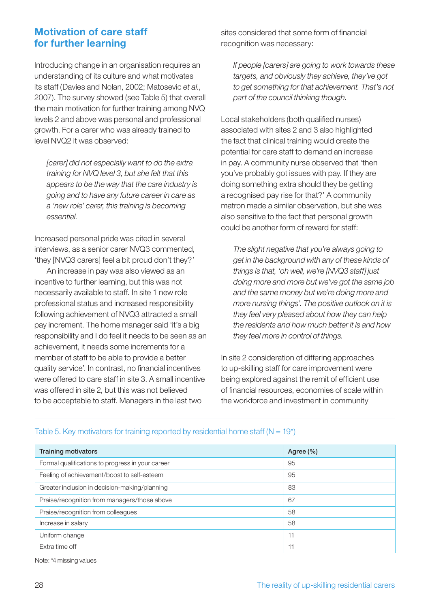## **Motivation of care staff for further learning**

Introducing change in an organisation requires an understanding of its culture and what motivates its staff (Davies and Nolan, 2002; Matosevic *et al.*, 2007). The survey showed (see Table 5) that overall the main motivation for further training among NVQ levels 2 and above was personal and professional growth. For a carer who was already trained to level NVQ2 it was observed:

*[carer] did not especially want to do the extra training for NVQ level 3, but she felt that this appears to be the way that the care industry is going and to have any future career in care as a 'new role' carer, this training is becoming essential.*

Increased personal pride was cited in several interviews, as a senior carer NVQ3 commented, 'they [NVQ3 carers] feel a bit proud don't they?'

 An increase in pay was also viewed as an incentive to further learning, but this was not necessarily available to staff. In site 1 new role professional status and increased responsibility following achievement of NVQ3 attracted a small pay increment. The home manager said 'it's a big responsibility and I do feel it needs to be seen as an achievement, it needs some increments for a member of staff to be able to provide a better quality service'. In contrast, no financial incentives were offered to care staff in site 3. A small incentive was offered in site 2, but this was not believed to be acceptable to staff. Managers in the last two

sites considered that some form of financial recognition was necessary:

*If people [carers] are going to work towards these targets, and obviously they achieve, they've got to get something for that achievement. That's not part of the council thinking though.*

Local stakeholders (both qualified nurses) associated with sites 2 and 3 also highlighted the fact that clinical training would create the potential for care staff to demand an increase in pay. A community nurse observed that 'then you've probably got issues with pay. If they are doing something extra should they be getting a recognised pay rise for that?' A community matron made a similar observation, but she was also sensitive to the fact that personal growth could be another form of reward for staff:

*The slight negative that you're always going to get in the background with any of these kinds of things is that, 'oh well, we're [NVQ3 staff] just doing more and more but we've got the same job and the same money but we're doing more and more nursing things'. The positive outlook on it is they feel very pleased about how they can help the residents and how much better it is and how they feel more in control of things.*

In site 2 consideration of differing approaches to up-skilling staff for care improvement were being explored against the remit of efficient use of financial resources, economies of scale within the workforce and investment in community

| <b>Training motivators</b>                       | Agree $(\% )$ |
|--------------------------------------------------|---------------|
| Formal qualifications to progress in your career | 95            |
| Feeling of achievement/boost to self-esteem      | 95            |
| Greater inclusion in decision-making/planning    | 83            |
| Praise/recognition from managers/those above     | 67            |
| Praise/recognition from colleagues               | 58            |
| Increase in salary                               | 58            |
| Uniform change                                   | 11            |
| Extra time off                                   | 11            |

#### Table 5. Key motivators for training reported by residential home staff ( $N = 19$ <sup>\*</sup>)

Note: \*4 missing values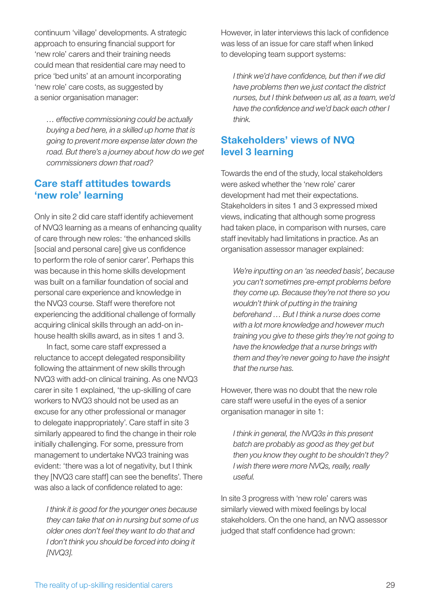continuum 'village' developments. A strategic approach to ensuring financial support for 'new role' carers and their training needs could mean that residential care may need to price 'bed units' at an amount incorporating 'new role' care costs, as suggested by a senior organisation manager:

*… effective commissioning could be actually buying a bed here, in a skilled up home that is going to prevent more expense later down the road. But there's a journey about how do we get commissioners down that road?*

## **Care staff attitudes towards 'new role' learning**

Only in site 2 did care staff identify achievement of NVQ3 learning as a means of enhancing quality of care through new roles: 'the enhanced skills [social and personal care] give us confidence to perform the role of senior carer'. Perhaps this was because in this home skills development was built on a familiar foundation of social and personal care experience and knowledge in the NVQ3 course. Staff were therefore not experiencing the additional challenge of formally acquiring clinical skills through an add-on inhouse health skills award, as in sites 1 and 3.

 In fact, some care staff expressed a reluctance to accept delegated responsibility following the attainment of new skills through NVQ3 with add-on clinical training. As one NVQ3 carer in site 1 explained, 'the up-skilling of care workers to NVQ3 should not be used as an excuse for any other professional or manager to delegate inappropriately'. Care staff in site 3 similarly appeared to find the change in their role initially challenging. For some, pressure from management to undertake NVQ3 training was evident: 'there was a lot of negativity, but I think they [NVQ3 care staff] can see the benefits'. There was also a lack of confidence related to age:

*I think it is good for the younger ones because they can take that on in nursing but some of us older ones don't feel they want to do that and I don't think you should be forced into doing it [NVQ3].*

However, in later interviews this lack of confidence was less of an issue for care staff when linked to developing team support systems:

*I think we'd have confidence, but then if we did have problems then we just contact the district nurses, but I think between us all, as a team, we'd*  have the confidence and we'd back each other I *think.*

## **Stakeholders' views of NVQ level 3 learning**

Towards the end of the study, local stakeholders were asked whether the 'new role' carer development had met their expectations. Stakeholders in sites 1 and 3 expressed mixed views, indicating that although some progress had taken place, in comparison with nurses, care staff inevitably had limitations in practice. As an organisation assessor manager explained:

*We're inputting on an 'as needed basis', because you can't sometimes pre-empt problems before they come up. Because they're not there so you wouldn't think of putting in the training beforehand … But I think a nurse does come with a lot more knowledge and however much training you give to these girls they're not going to have the knowledge that a nurse brings with them and they're never going to have the insight that the nurse has.* 

However, there was no doubt that the new role care staff were useful in the eyes of a senior organisation manager in site 1:

*I think in general, the NVQ3s in this present batch are probably as good as they get but then you know they ought to be shouldn't they? I wish there were more NVQs, really, really useful.*

In site 3 progress with 'new role' carers was similarly viewed with mixed feelings by local stakeholders. On the one hand, an NVQ assessor judged that staff confidence had grown: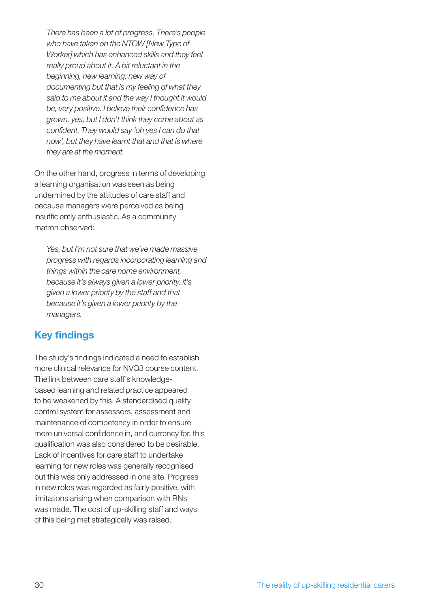*There has been a lot of progress. There's people who have taken on the NTOW [New Type of Worker] which has enhanced skills and they feel really proud about it. A bit reluctant in the beginning, new learning, new way of documenting but that is my feeling of what they said to me about it and the way I thought it would*  be, very positive. I believe their confidence has *grown, yes, but I don't think they come about as*  confident. They would say 'oh yes I can do that *now', but they have learnt that and that is where they are at the moment.*

On the other hand, progress in terms of developing a learning organisation was seen as being undermined by the attitudes of care staff and because managers were perceived as being insufficiently enthusiastic. As a community matron observed:

*Yes, but I'm not sure that we've made massive progress with regards incorporating learning and things within the care home environment, because it's always given a lower priority, it's given a lower priority by the staff and that because it's given a lower priority by the managers.*

## **Key findings**

The study's findings indicated a need to establish more clinical relevance for NVQ3 course content. The link between care staff's knowledgebased learning and related practice appeared to be weakened by this. A standardised quality control system for assessors, assessment and maintenance of competency in order to ensure more universal confidence in, and currency for, this qualification was also considered to be desirable. Lack of incentives for care staff to undertake learning for new roles was generally recognised but this was only addressed in one site. Progress in new roles was regarded as fairly positive, with limitations arising when comparison with RNs was made. The cost of up-skilling staff and ways of this being met strategically was raised.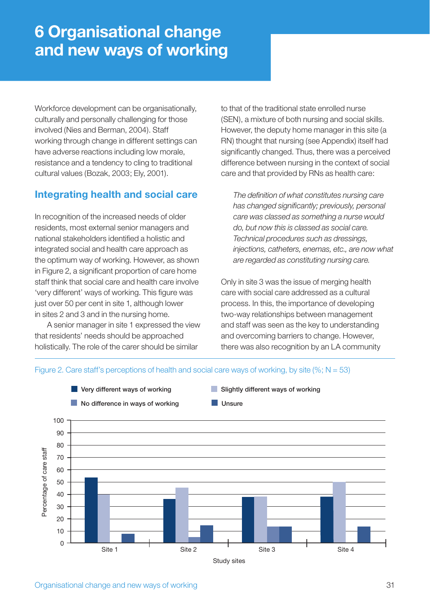## **6 Organisational change and new ways of working**

Workforce development can be organisationally. culturally and personally challenging for those involved (Nies and Berman, 2004). Staff working through change in different settings can have adverse reactions including low morale, resistance and a tendency to cling to traditional cultural values (Bozak, 2003; Ely, 2001).

## **Integrating health and social care**

In recognition of the increased needs of older residents, most external senior managers and national stakeholders identified a holistic and integrated social and health care approach as the optimum way of working. However, as shown in Figure 2, a significant proportion of care home staff think that social care and health care involve 'very different' ways of working. This figure was just over 50 per cent in site 1, although lower in sites 2 and 3 and in the nursing home.

 A senior manager in site 1 expressed the view that residents' needs should be approached holistically. The role of the carer should be similar

to that of the traditional state enrolled nurse (SEN), a mixture of both nursing and social skills. However, the deputy home manager in this site (a RN) thought that nursing (see Appendix) itself had significantly changed. Thus, there was a perceived difference between nursing in the context of social care and that provided by RNs as health care:

The definition of what constitutes nursing care has changed significantly; previously, personal *care was classed as something a nurse would do, but now this is classed as social care. Technical procedures such as dressings, injections, catheters, enemas, etc., are now what are regarded as constituting nursing care.*

Only in site 3 was the issue of merging health care with social care addressed as a cultural process. In this, the importance of developing two-way relationships between management and staff was seen as the key to understanding and overcoming barriers to change. However, there was also recognition by an LA community

#### Figure 2. Care staff's perceptions of health and social care ways of working, by site (%;  $N = 53$ )



Study sites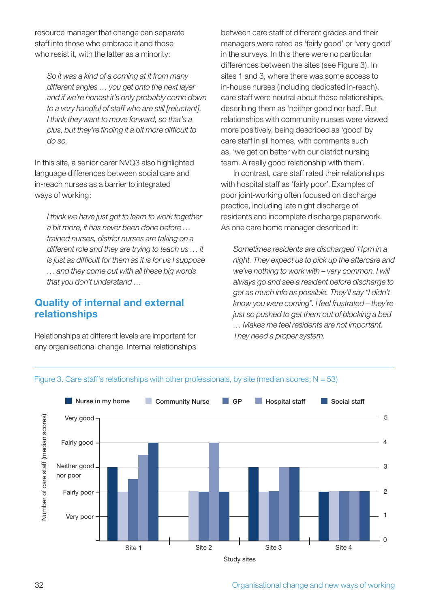resource manager that change can separate staff into those who embrace it and those who resist it, with the latter as a minority:

*So it was a kind of a coming at it from many different angles … you get onto the next layer and if we're honest it's only probably come down to a very handful of staff who are still [reluctant]. I think they want to move forward, so that's a*  plus, but they're finding it a bit more difficult to *do so.*

In this site, a senior carer NVQ3 also highlighted language differences between social care and in-reach nurses as a barrier to integrated ways of working:

*I think we have just got to learn to work together a bit more, it has never been done before … trained nurses, district nurses are taking on a different role and they are trying to teach us … it is just as difficult for them as it is for us I suppose … and they come out with all these big words that you don't understand …*

### **Quality of internal and external relationships**

Relationships at different levels are important for any organisational change. Internal relationships between care staff of different grades and their managers were rated as 'fairly good' or 'very good' in the surveys. In this there were no particular differences between the sites (see Figure 3). In sites 1 and 3, where there was some access to in-house nurses (including dedicated in-reach), care staff were neutral about these relationships, describing them as 'neither good nor bad'. But relationships with community nurses were viewed more positively, being described as 'good' by care staff in all homes, with comments such as, 'we get on better with our district nursing team. A really good relationship with them'.

 In contrast, care staff rated their relationships with hospital staff as 'fairly poor'. Examples of poor joint-working often focused on discharge practice, including late night discharge of residents and incomplete discharge paperwork. As one care home manager described it:

*Sometimes residents are discharged 11pm in a night. They expect us to pick up the aftercare and we've nothing to work with – very common. I will always go and see a resident before discharge to get as much info as possible. They'll say "I didn't know you were coming". I feel frustrated – they're just so pushed to get them out of blocking a bed … Makes me feel residents are not important. They need a proper system.*



#### Figure 3. Care staff's relationships with other professionals, by site (median scores;  $N = 53$ )

32 Organisational change and new ways of working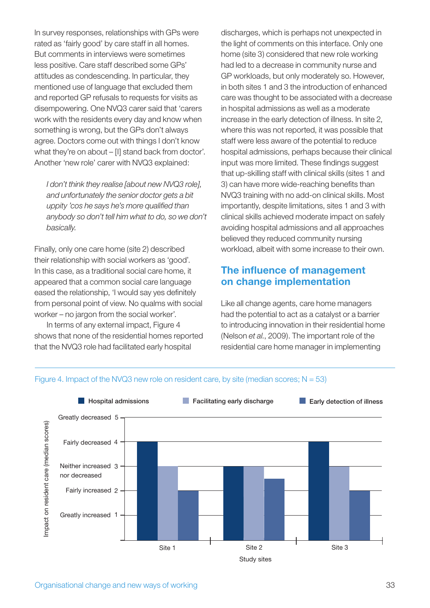In survey responses, relationships with GPs were rated as 'fairly good' by care staff in all homes. But comments in interviews were sometimes less positive. Care staff described some GPs' attitudes as condescending. In particular, they mentioned use of language that excluded them and reported GP refusals to requests for visits as disempowering. One NVQ3 carer said that 'carers work with the residents every day and know when something is wrong, but the GPs don't always agree. Doctors come out with things I don't know what they're on about – [I] stand back from doctor'. Another 'new role' carer with NVQ3 explained:

*I don't think they realise [about new NVQ3 role], and unfortunately the senior doctor gets a bit uppity 'cos he says he's more qualified than anybody so don't tell him what to do, so we don't basically.*

Finally, only one care home (site 2) described their relationship with social workers as 'good'. In this case, as a traditional social care home, it appeared that a common social care language eased the relationship, 'I would say yes definitely from personal point of view. No qualms with social worker – no jargon from the social worker'.

 In terms of any external impact, Figure 4 shows that none of the residential homes reported that the NVQ3 role had facilitated early hospital

discharges, which is perhaps not unexpected in the light of comments on this interface. Only one home (site 3) considered that new role working had led to a decrease in community nurse and GP workloads, but only moderately so. However, in both sites 1 and 3 the introduction of enhanced care was thought to be associated with a decrease in hospital admissions as well as a moderate increase in the early detection of illness. In site 2, where this was not reported, it was possible that staff were less aware of the potential to reduce hospital admissions, perhaps because their clinical input was more limited. These findings suggest that up-skilling staff with clinical skills (sites 1 and 3) can have more wide-reaching benefits than NVQ3 training with no add-on clinical skills. Most importantly, despite limitations, sites 1 and 3 with clinical skills achieved moderate impact on safely avoiding hospital admissions and all approaches believed they reduced community nursing workload, albeit with some increase to their own.

## **The influence of management on change implementation**

Like all change agents, care home managers had the potential to act as a catalyst or a barrier to introducing innovation in their residential home (Nelson *et al.*, 2009). The important role of the residential care home manager in implementing



#### Figure 4. Impact of the NVQ3 new role on resident care, by site (median scores;  $N = 53$ )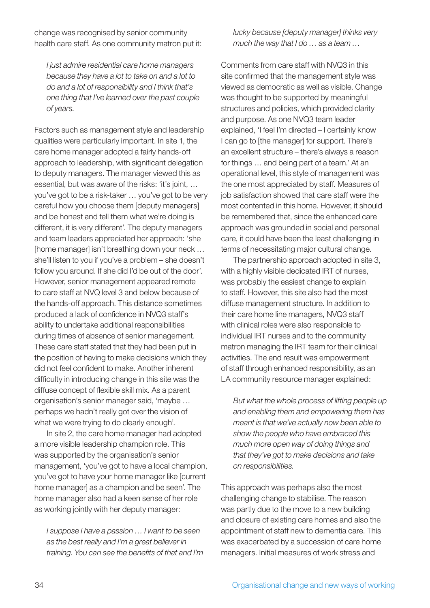change was recognised by senior community health care staff. As one community matron put it:

*I just admire residential care home managers because they have a lot to take on and a lot to do and a lot of responsibility and I think that's one thing that I've learned over the past couple of years.*

Factors such as management style and leadership qualities were particularly important. In site 1, the care home manager adopted a fairly hands-off approach to leadership, with significant delegation to deputy managers. The manager viewed this as essential, but was aware of the risks: 'it's joint, … you've got to be a risk-taker … you've got to be very careful how you choose them [deputy managers] and be honest and tell them what we're doing is different, it is very different'. The deputy managers and team leaders appreciated her approach: 'she [home manager] isn't breathing down your neck … she'll listen to you if you've a problem – she doesn't follow you around. If she did I'd be out of the door'. However, senior management appeared remote to care staff at NVQ level 3 and below because of the hands-off approach. This distance sometimes produced a lack of confidence in NVQ3 staff's ability to undertake additional responsibilities during times of absence of senior management. These care staff stated that they had been put in the position of having to make decisions which they did not feel confident to make. Another inherent difficulty in introducing change in this site was the diffuse concept of flexible skill mix. As a parent organisation's senior manager said, 'maybe … perhaps we hadn't really got over the vision of what we were trying to do clearly enough'.

 In site 2, the care home manager had adopted a more visible leadership champion role. This was supported by the organisation's senior management, 'you've got to have a local champion, you've got to have your home manager like [current home manager] as a champion and be seen'. The home manager also had a keen sense of her role as working jointly with her deputy manager:

*I suppose I have a passion … I want to be seen as the best really and I'm a great believer in training. You can see the benefits of that and I'm*  *lucky because [deputy manager] thinks very much the way that I do … as a team …*

Comments from care staff with NVQ3 in this site confirmed that the management style was viewed as democratic as well as visible. Change was thought to be supported by meaningful structures and policies, which provided clarity and purpose. As one NVQ3 team leader explained, 'I feel I'm directed – I certainly know I can go to [the manager] for support. There's an excellent structure – there's always a reason for things … and being part of a team.' At an operational level, this style of management was the one most appreciated by staff. Measures of job satisfaction showed that care staff were the most contented in this home. However, it should be remembered that, since the enhanced care approach was grounded in social and personal care, it could have been the least challenging in terms of necessitating major cultural change.

 The partnership approach adopted in site 3, with a highly visible dedicated IRT of nurses, was probably the easiest change to explain to staff. However, this site also had the most diffuse management structure. In addition to their care home line managers, NVQ3 staff with clinical roles were also responsible to individual IRT nurses and to the community matron managing the IRT team for their clinical activities. The end result was empowerment of staff through enhanced responsibility, as an LA community resource manager explained:

*But what the whole process of lifting people up and enabling them and empowering them has meant is that we've actually now been able to show the people who have embraced this much more open way of doing things and that they've got to make decisions and take on responsibilities.*

This approach was perhaps also the most challenging change to stabilise. The reason was partly due to the move to a new building and closure of existing care homes and also the appointment of staff new to dementia care. This was exacerbated by a succession of care home managers. Initial measures of work stress and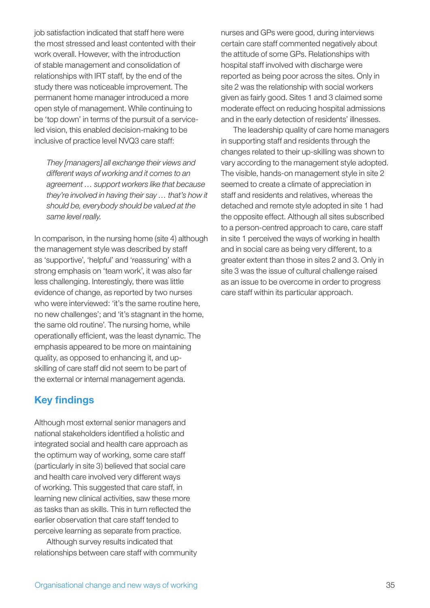job satisfaction indicated that staff here were the most stressed and least contented with their work overall. However, with the introduction of stable management and consolidation of relationships with IRT staff, by the end of the study there was noticeable improvement. The permanent home manager introduced a more open style of management. While continuing to be 'top down' in terms of the pursuit of a serviceled vision, this enabled decision-making to be inclusive of practice level NVQ3 care staff:

*They [managers] all exchange their views and different ways of working and it comes to an agreement … support workers like that because they're involved in having their say … that's how it should be, everybody should be valued at the same level really.*

In comparison, in the nursing home (site 4) although the management style was described by staff as 'supportive', 'helpful' and 'reassuring' with a strong emphasis on 'team work', it was also far less challenging. Interestingly, there was little evidence of change, as reported by two nurses who were interviewed: 'it's the same routine here, no new challenges'; and 'it's stagnant in the home, the same old routine'. The nursing home, while operationally efficient, was the least dynamic. The emphasis appeared to be more on maintaining quality, as opposed to enhancing it, and upskilling of care staff did not seem to be part of the external or internal management agenda.

## **Key findings**

Although most external senior managers and national stakeholders identified a holistic and integrated social and health care approach as the optimum way of working, some care staff (particularly in site 3) believed that social care and health care involved very different ways of working. This suggested that care staff, in learning new clinical activities, saw these more as tasks than as skills. This in turn reflected the earlier observation that care staff tended to perceive learning as separate from practice.

 Although survey results indicated that relationships between care staff with community nurses and GPs were good, during interviews certain care staff commented negatively about the attitude of some GPs. Relationships with hospital staff involved with discharge were reported as being poor across the sites. Only in site 2 was the relationship with social workers given as fairly good. Sites 1 and 3 claimed some moderate effect on reducing hospital admissions and in the early detection of residents' illnesses.

 The leadership quality of care home managers in supporting staff and residents through the changes related to their up-skilling was shown to vary according to the management style adopted. The visible, hands-on management style in site 2 seemed to create a climate of appreciation in staff and residents and relatives, whereas the detached and remote style adopted in site 1 had the opposite effect. Although all sites subscribed to a person-centred approach to care, care staff in site 1 perceived the ways of working in health and in social care as being very different, to a greater extent than those in sites 2 and 3. Only in site 3 was the issue of cultural challenge raised as an issue to be overcome in order to progress care staff within its particular approach.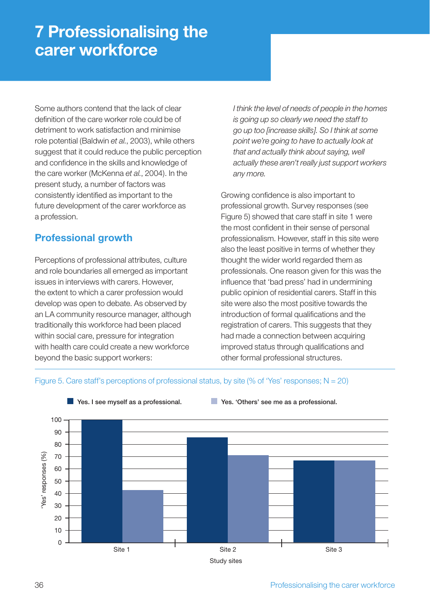## **7 Professionalising the carer workforce**

Some authors contend that the lack of clear definition of the care worker role could be of detriment to work satisfaction and minimise role potential (Baldwin *et al.*, 2003), while others suggest that it could reduce the public perception and confidence in the skills and knowledge of the care worker (McKenna *et al.*, 2004). In the present study, a number of factors was consistently identified as important to the future development of the carer workforce as a profession.

## **Professional growth**

Perceptions of professional attributes, culture and role boundaries all emerged as important issues in interviews with carers. However, the extent to which a carer profession would develop was open to debate. As observed by an LA community resource manager, although traditionally this workforce had been placed within social care, pressure for integration with health care could create a new workforce beyond the basic support workers:

*I think the level of needs of people in the homes is going up so clearly we need the staff to go up too [increase skills]. So I think at some point we're going to have to actually look at that and actually think about saying, well actually these aren't really just support workers any more.*

Growing confidence is also important to professional growth. Survey responses (see Figure 5) showed that care staff in site 1 were the most confident in their sense of personal professionalism. However, staff in this site were also the least positive in terms of whether they thought the wider world regarded them as professionals. One reason given for this was the influence that 'bad press' had in undermining public opinion of residential carers. Staff in this site were also the most positive towards the introduction of formal qualifications and the registration of carers. This suggests that they had made a connection between acquiring improved status through qualifications and other formal professional structures.



#### Figure 5. Care staff's perceptions of professional status, by site (% of 'Yes' responses;  $N = 20$ )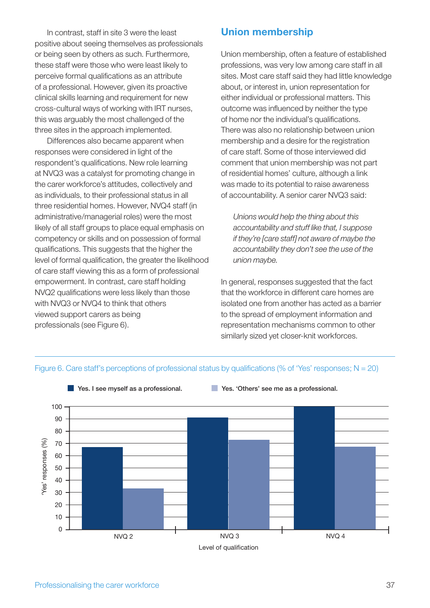In contrast, staff in site 3 were the least positive about seeing themselves as professionals or being seen by others as such. Furthermore, these staff were those who were least likely to perceive formal qualifications as an attribute of a professional. However, given its proactive clinical skills learning and requirement for new cross-cultural ways of working with IRT nurses, this was arguably the most challenged of the three sites in the approach implemented.

 Differences also became apparent when responses were considered in light of the respondent's qualifications. New role learning at NVQ3 was a catalyst for promoting change in the carer workforce's attitudes, collectively and as individuals, to their professional status in all three residential homes. However, NVQ4 staff (in administrative/managerial roles) were the most likely of all staff groups to place equal emphasis on competency or skills and on possession of formal qualifications. This suggests that the higher the level of formal qualification, the greater the likelihood of care staff viewing this as a form of professional empowerment. In contrast, care staff holding NVQ2 qualifications were less likely than those with NVQ3 or NVQ4 to think that others viewed support carers as being professionals (see Figure 6).

### **Union membership**

Union membership, often a feature of established professions, was very low among care staff in all sites. Most care staff said they had little knowledge about, or interest in, union representation for either individual or professional matters. This outcome was influenced by neither the type of home nor the individual's qualifications. There was also no relationship between union membership and a desire for the registration of care staff. Some of those interviewed did comment that union membership was not part of residential homes' culture, although a link was made to its potential to raise awareness of accountability. A senior carer NVQ3 said:

*Unions would help the thing about this accountability and stuff like that, I suppose if they're [care staff] not aware of maybe the accountability they don't see the use of the union maybe.*

In general, responses suggested that the fact that the workforce in different care homes are isolated one from another has acted as a barrier to the spread of employment information and representation mechanisms common to other similarly sized yet closer-knit workforces.



#### Figure 6. Care staff's perceptions of professional status by qualifications (% of 'Yes' responses;  $N = 20$ )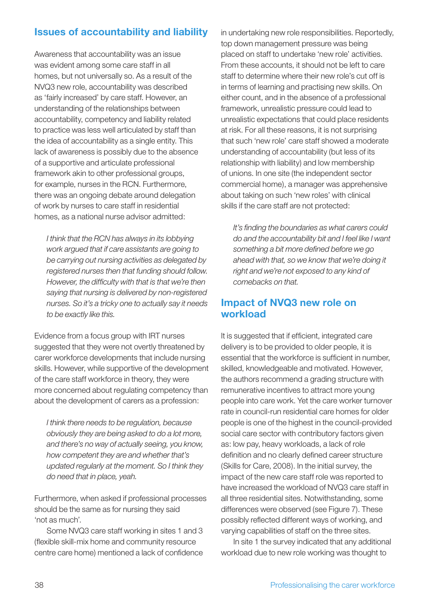## **Issues of accountability and liability**

Awareness that accountability was an issue was evident among some care staff in all homes, but not universally so. As a result of the NVQ3 new role, accountability was described as 'fairly increased' by care staff. However, an understanding of the relationships between accountability, competency and liability related to practice was less well articulated by staff than the idea of accountability as a single entity. This lack of awareness is possibly due to the absence of a supportive and articulate professional framework akin to other professional groups, for example, nurses in the RCN. Furthermore, there was an ongoing debate around delegation of work by nurses to care staff in residential homes, as a national nurse advisor admitted:

*I think that the RCN has always in its lobbying work argued that if care assistants are going to be carrying out nursing activities as delegated by registered nurses then that funding should follow.*  However, the difficulty with that is that we're then *saying that nursing is delivered by non-registered nurses. So it's a tricky one to actually say it needs to be exactly like this.* 

Evidence from a focus group with IRT nurses suggested that they were not overtly threatened by carer workforce developments that include nursing skills. However, while supportive of the development of the care staff workforce in theory, they were more concerned about regulating competency than about the development of carers as a profession:

*I think there needs to be regulation, because obviously they are being asked to do a lot more, and there's no way of actually seeing, you know, how competent they are and whether that's updated regularly at the moment. So I think they do need that in place, yeah.*

Furthermore, when asked if professional processes should be the same as for nursing they said 'not as much'.

 Some NVQ3 care staff working in sites 1 and 3 (flexible skill-mix home and community resource centre care home) mentioned a lack of confidence in undertaking new role responsibilities. Reportedly, top down management pressure was being placed on staff to undertake 'new role' activities. From these accounts, it should not be left to care staff to determine where their new role's cut off is in terms of learning and practising new skills. On either count, and in the absence of a professional framework, unrealistic pressure could lead to unrealistic expectations that could place residents at risk. For all these reasons, it is not surprising that such 'new role' care staff showed a moderate understanding of accountability (but less of its relationship with liability) and low membership of unions. In one site (the independent sector commercial home), a manager was apprehensive about taking on such 'new roles' with clinical skills if the care staff are not protected:

*It's fi nding the boundaries as what carers could do and the accountability bit and I feel like I want something a bit more defi ned before we go ahead with that, so we know that we're doing it right and we're not exposed to any kind of comebacks on that.*

### **Impact of NVQ3 new role on workload**

It is suggested that if efficient, integrated care delivery is to be provided to older people, it is essential that the workforce is sufficient in number, skilled, knowledgeable and motivated. However, the authors recommend a grading structure with remunerative incentives to attract more young people into care work. Yet the care worker turnover rate in council-run residential care homes for older people is one of the highest in the council-provided social care sector with contributory factors given as: low pay, heavy workloads, a lack of role definition and no clearly defined career structure (Skills for Care, 2008). In the initial survey, the impact of the new care staff role was reported to have increased the workload of NVQ3 care staff in all three residential sites. Notwithstanding, some differences were observed (see Figure 7). These possibly reflected different ways of working, and varying capabilities of staff on the three sites.

 In site 1 the survey indicated that any additional workload due to new role working was thought to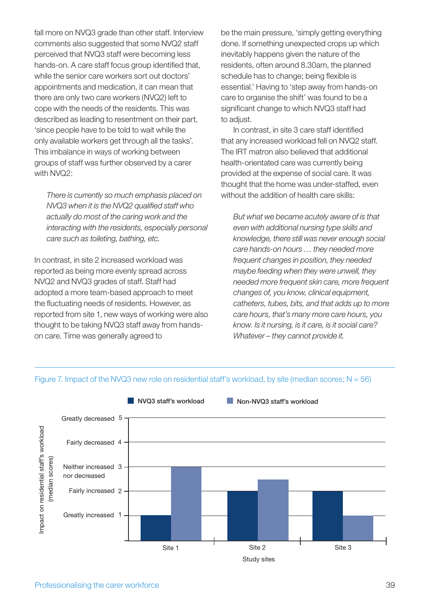fall more on NVQ3 grade than other staff. Interview comments also suggested that some NVQ2 staff perceived that NVQ3 staff were becoming less hands-on. A care staff focus group identified that, while the senior care workers sort out doctors' appointments and medication, it can mean that there are only two care workers (NVQ2) left to cope with the needs of the residents. This was described as leading to resentment on their part, 'since people have to be told to wait while the only available workers get through all the tasks'. This imbalance in ways of working between groups of staff was further observed by a carer with NVQ2:

*There is currently so much emphasis placed on NVQ3 when it is the NVQ2 qualified staff who actually do most of the caring work and the interacting with the residents, especially personal care such as toileting, bathing, etc.*

In contrast, in site 2 increased workload was reported as being more evenly spread across NVQ2 and NVQ3 grades of staff. Staff had adopted a more team-based approach to meet the fluctuating needs of residents. However, as reported from site 1, new ways of working were also thought to be taking NVQ3 staff away from handson care. Time was generally agreed to

be the main pressure, 'simply getting everything done. If something unexpected crops up which inevitably happens given the nature of the residents, often around 8.30am, the planned schedule has to change; being flexible is essential.' Having to 'step away from hands-on care to organise the shift' was found to be a significant change to which NVQ3 staff had to adiust.

In contrast, in site 3 care staff identified that any increased workload fell on NVQ2 staff. The IRT matron also believed that additional health-orientated care was currently being provided at the expense of social care. It was thought that the home was under-staffed, even without the addition of health care skills:

*But what we became acutely aware of is that even with additional nursing type skills and knowledge, there still was never enough social care hands-on hours … they needed more frequent changes in position, they needed maybe feeding when they were unwell, they needed more frequent skin care, more frequent changes of, you know, clinical equipment, catheters, tubes, bits, and that adds up to more care hours, that's many more care hours, you know. Is it nursing, is it care, is it social care? Whatever – they cannot provide it.*



#### Figure 7. Impact of the NVQ3 new role on residential staff's workload, by site (median scores;  $N = 56$ )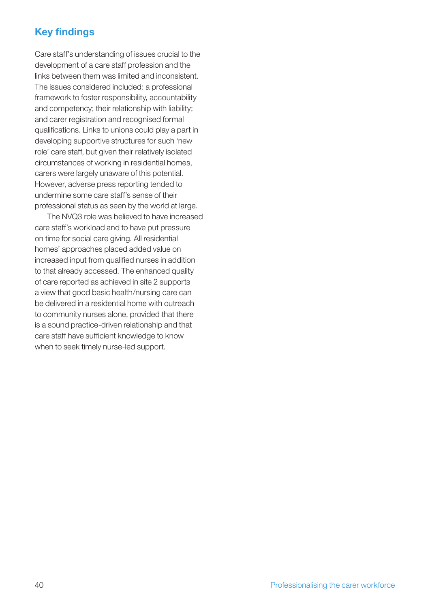## **Key findings**

Care staff's understanding of issues crucial to the development of a care staff profession and the links between them was limited and inconsistent. The issues considered included: a professional framework to foster responsibility, accountability and competency; their relationship with liability; and carer registration and recognised formal qualifications. Links to unions could play a part in developing supportive structures for such 'new role' care staff, but given their relatively isolated circumstances of working in residential homes, carers were largely unaware of this potential. However, adverse press reporting tended to undermine some care staff's sense of their professional status as seen by the world at large.

 The NVQ3 role was believed to have increased care staff's workload and to have put pressure on time for social care giving. All residential homes' approaches placed added value on increased input from qualified nurses in addition to that already accessed. The enhanced quality of care reported as achieved in site 2 supports a view that good basic health/nursing care can be delivered in a residential home with outreach to community nurses alone, provided that there is a sound practice-driven relationship and that care staff have sufficient knowledge to know when to seek timely nurse-led support.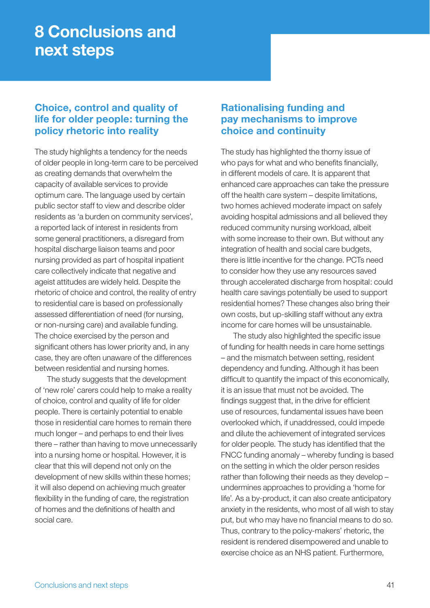## **8 Conclusions and next steps**

## **Choice, control and quality of life for older people: turning the policy rhetoric into reality**

The study highlights a tendency for the needs of older people in long-term care to be perceived as creating demands that overwhelm the capacity of available services to provide optimum care. The language used by certain public sector staff to view and describe older residents as 'a burden on community services', a reported lack of interest in residents from some general practitioners, a disregard from hospital discharge liaison teams and poor nursing provided as part of hospital inpatient care collectively indicate that negative and ageist attitudes are widely held. Despite the rhetoric of choice and control, the reality of entry to residential care is based on professionally assessed differentiation of need (for nursing, or non-nursing care) and available funding. The choice exercised by the person and significant others has lower priority and, in any case, they are often unaware of the differences between residential and nursing homes.

 The study suggests that the development of 'new role' carers could help to make a reality of choice, control and quality of life for older people. There is certainly potential to enable those in residential care homes to remain there much longer – and perhaps to end their lives there – rather than having to move unnecessarily into a nursing home or hospital. However, it is clear that this will depend not only on the development of new skills within these homes; it will also depend on achieving much greater flexibility in the funding of care, the registration of homes and the definitions of health and social care.

## **Rationalising funding and pay mechanisms to improve choice and continuity**

The study has highlighted the thorny issue of who pays for what and who benefits financially, in different models of care. It is apparent that enhanced care approaches can take the pressure off the health care system – despite limitations, two homes achieved moderate impact on safely avoiding hospital admissions and all believed they reduced community nursing workload, albeit with some increase to their own. But without any integration of health and social care budgets, there is little incentive for the change. PCTs need to consider how they use any resources saved through accelerated discharge from hospital: could health care savings potentially be used to support residential homes? These changes also bring their own costs, but up-skilling staff without any extra income for care homes will be unsustainable.

The study also highlighted the specific issue of funding for health needs in care home settings – and the mismatch between setting, resident dependency and funding. Although it has been difficult to quantify the impact of this economically, it is an issue that must not be avoided. The findings suggest that, in the drive for efficient use of resources, fundamental issues have been overlooked which, if unaddressed, could impede and dilute the achievement of integrated services for older people. The study has identified that the FNCC funding anomaly – whereby funding is based on the setting in which the older person resides rather than following their needs as they develop – undermines approaches to providing a 'home for life'. As a by-product, it can also create anticipatory anxiety in the residents, who most of all wish to stay put, but who may have no financial means to do so. Thus, contrary to the policy-makers' rhetoric, the resident is rendered disempowered and unable to exercise choice as an NHS patient. Furthermore,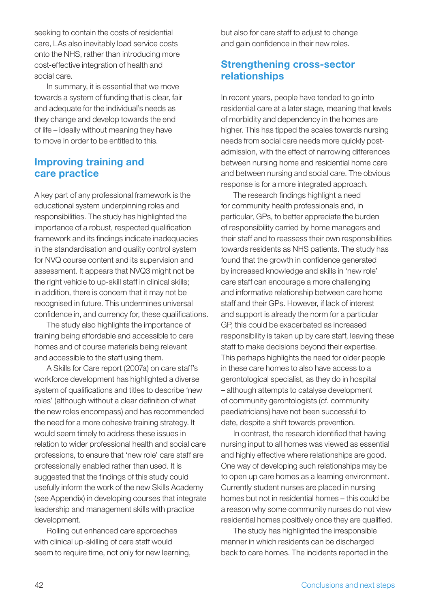seeking to contain the costs of residential care, LAs also inevitably load service costs onto the NHS, rather than introducing more cost-effective integration of health and social care.

 In summary, it is essential that we move towards a system of funding that is clear, fair and adequate for the individual's needs as they change and develop towards the end of life – ideally without meaning they have to move in order to be entitled to this.

### **Improving training and care practice**

A key part of any professional framework is the educational system underpinning roles and responsibilities. The study has highlighted the importance of a robust, respected qualification framework and its findings indicate inadequacies in the standardisation and quality control system for NVQ course content and its supervision and assessment. It appears that NVQ3 might not be the right vehicle to up-skill staff in clinical skills; in addition, there is concern that it may not be recognised in future. This undermines universal confidence in, and currency for, these qualifications.

 The study also highlights the importance of training being affordable and accessible to care homes and of course materials being relevant and accessible to the staff using them.

 A Skills for Care report (2007a) on care staff's workforce development has highlighted a diverse system of qualifications and titles to describe 'new roles' (although without a clear definition of what the new roles encompass) and has recommended the need for a more cohesive training strategy. It would seem timely to address these issues in relation to wider professional health and social care professions, to ensure that 'new role' care staff are professionally enabled rather than used. It is suggested that the findings of this study could usefully inform the work of the new Skills Academy (see Appendix) in developing courses that integrate leadership and management skills with practice development.

 Rolling out enhanced care approaches with clinical up-skilling of care staff would seem to require time, not only for new learning, but also for care staff to adjust to change and gain confidence in their new roles.

## **Strengthening cross-sector relationships**

In recent years, people have tended to go into residential care at a later stage, meaning that levels of morbidity and dependency in the homes are higher. This has tipped the scales towards nursing needs from social care needs more quickly postadmission, with the effect of narrowing differences between nursing home and residential home care and between nursing and social care. The obvious response is for a more integrated approach.

The research findings highlight a need for community health professionals and, in particular, GPs, to better appreciate the burden of responsibility carried by home managers and their staff and to reassess their own responsibilities towards residents as NHS patients. The study has found that the growth in confidence generated by increased knowledge and skills in 'new role' care staff can encourage a more challenging and informative relationship between care home staff and their GPs. However, if lack of interest and support is already the norm for a particular GP, this could be exacerbated as increased responsibility is taken up by care staff, leaving these staff to make decisions beyond their expertise. This perhaps highlights the need for older people in these care homes to also have access to a gerontological specialist, as they do in hospital – although attempts to catalyse development of community gerontologists (cf. community paediatricians) have not been successful to date, despite a shift towards prevention.

In contrast, the research identified that having nursing input to all homes was viewed as essential and highly effective where relationships are good. One way of developing such relationships may be to open up care homes as a learning environment. Currently student nurses are placed in nursing homes but not in residential homes – this could be a reason why some community nurses do not view residential homes positively once they are qualified.

 The study has highlighted the irresponsible manner in which residents can be discharged back to care homes. The incidents reported in the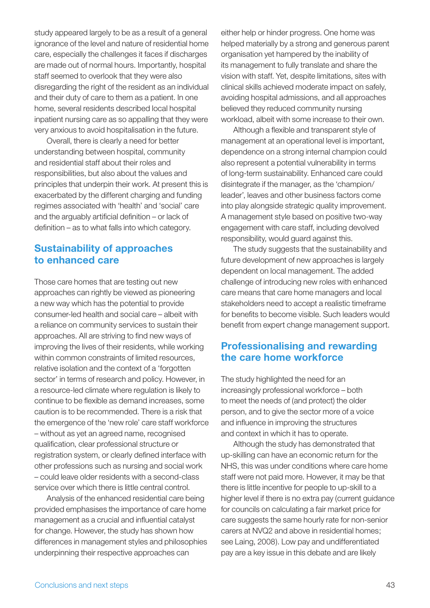study appeared largely to be as a result of a general ignorance of the level and nature of residential home care, especially the challenges it faces if discharges are made out of normal hours. Importantly, hospital staff seemed to overlook that they were also disregarding the right of the resident as an individual and their duty of care to them as a patient. In one home, several residents described local hospital inpatient nursing care as so appalling that they were very anxious to avoid hospitalisation in the future.

 Overall, there is clearly a need for better understanding between hospital, community and residential staff about their roles and responsibilities, but also about the values and principles that underpin their work. At present this is exacerbated by the different charging and funding regimes associated with 'health' and 'social' care and the arguably artificial definition  $-$  or lack of  $definition - as to what falls into which category.$ 

### **Sustainability of approaches to enhanced care**

Those care homes that are testing out new approaches can rightly be viewed as pioneering a new way which has the potential to provide consumer-led health and social care – albeit with a reliance on community services to sustain their approaches. All are striving to find new ways of improving the lives of their residents, while working within common constraints of limited resources, relative isolation and the context of a 'forgotten sector' in terms of research and policy. However, in a resource-led climate where regulation is likely to continue to be flexible as demand increases, some caution is to be recommended. There is a risk that the emergence of the 'new role' care staff workforce – without as yet an agreed name, recognised qualification, clear professional structure or registration system, or clearly defined interface with other professions such as nursing and social work – could leave older residents with a second-class service over which there is little central control.

 Analysis of the enhanced residential care being provided emphasises the importance of care home management as a crucial and influential catalyst for change. However, the study has shown how differences in management styles and philosophies underpinning their respective approaches can

either help or hinder progress. One home was helped materially by a strong and generous parent organisation yet hampered by the inability of its management to fully translate and share the vision with staff. Yet, despite limitations, sites with clinical skills achieved moderate impact on safely, avoiding hospital admissions, and all approaches believed they reduced community nursing workload, albeit with some increase to their own.

Although a flexible and transparent style of management at an operational level is important, dependence on a strong internal champion could also represent a potential vulnerability in terms of long-term sustainability. Enhanced care could disintegrate if the manager, as the 'champion/ leader', leaves and other business factors come into play alongside strategic quality improvement. A management style based on positive two-way engagement with care staff, including devolved responsibility, would guard against this.

 The study suggests that the sustainability and future development of new approaches is largely dependent on local management. The added challenge of introducing new roles with enhanced care means that care home managers and local stakeholders need to accept a realistic timeframe for benefits to become visible. Such leaders would benefit from expert change management support.

### **Professionalising and rewarding the care home workforce**

The study highlighted the need for an increasingly professional workforce – both to meet the needs of (and protect) the older person, and to give the sector more of a voice and influence in improving the structures and context in which it has to operate.

 Although the study has demonstrated that up-skilling can have an economic return for the NHS, this was under conditions where care home staff were not paid more. However, it may be that there is little incentive for people to up-skill to a higher level if there is no extra pay (current guidance for councils on calculating a fair market price for care suggests the same hourly rate for non-senior carers at NVQ2 and above in residential homes; see Laing, 2008). Low pay and undifferentiated pay are a key issue in this debate and are likely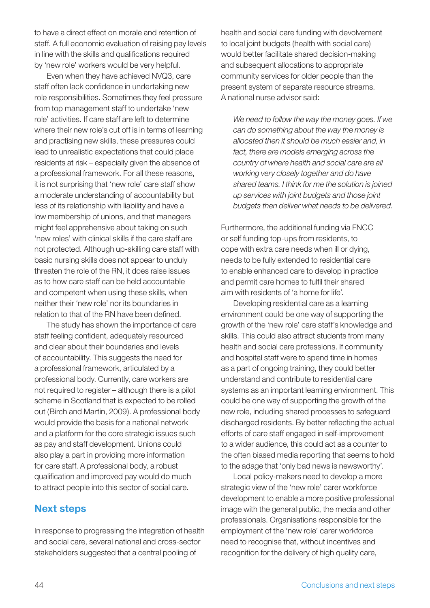to have a direct effect on morale and retention of staff. A full economic evaluation of raising pay levels in line with the skills and qualifications required by 'new role' workers would be very helpful.

 Even when they have achieved NVQ3, care staff often lack confidence in undertaking new role responsibilities. Sometimes they feel pressure from top management staff to undertake 'new role' activities. If care staff are left to determine where their new role's cut off is in terms of learning and practising new skills, these pressures could lead to unrealistic expectations that could place residents at risk – especially given the absence of a professional framework. For all these reasons, it is not surprising that 'new role' care staff show a moderate understanding of accountability but less of its relationship with liability and have a low membership of unions, and that managers might feel apprehensive about taking on such 'new roles' with clinical skills if the care staff are not protected. Although up-skilling care staff with basic nursing skills does not appear to unduly threaten the role of the RN, it does raise issues as to how care staff can be held accountable and competent when using these skills, when neither their 'new role' nor its boundaries in relation to that of the RN have been defined.

 The study has shown the importance of care staff feeling confident, adequately resourced and clear about their boundaries and levels of accountability. This suggests the need for a professional framework, articulated by a professional body. Currently, care workers are not required to register – although there is a pilot scheme in Scotland that is expected to be rolled out (Birch and Martin, 2009). A professional body would provide the basis for a national network and a platform for the core strategic issues such as pay and staff development. Unions could also play a part in providing more information for care staff. A professional body, a robust qualification and improved pay would do much to attract people into this sector of social care.

## **Next steps**

In response to progressing the integration of health and social care, several national and cross-sector stakeholders suggested that a central pooling of

health and social care funding with devolvement to local joint budgets (health with social care) would better facilitate shared decision-making and subsequent allocations to appropriate community services for older people than the present system of separate resource streams. A national nurse advisor said:

*We need to follow the way the money goes. If we can do something about the way the money is allocated then it should be much easier and, in fact, there are models emerging across the country of where health and social care are all working very closely together and do have shared teams. I think for me the solution is joined up services with joint budgets and those joint budgets then deliver what needs to be delivered.*

Furthermore, the additional funding via FNCC or self funding top-ups from residents, to cope with extra care needs when ill or dying, needs to be fully extended to residential care to enable enhanced care to develop in practice and permit care homes to fulfil their shared aim with residents of 'a home for life'.

 Developing residential care as a learning environment could be one way of supporting the growth of the 'new role' care staff's knowledge and skills. This could also attract students from many health and social care professions. If community and hospital staff were to spend time in homes as a part of ongoing training, they could better understand and contribute to residential care systems as an important learning environment. This could be one way of supporting the growth of the new role, including shared processes to safeguard discharged residents. By better reflecting the actual efforts of care staff engaged in self-improvement to a wider audience, this could act as a counter to the often biased media reporting that seems to hold to the adage that 'only bad news is newsworthy'.

 Local policy-makers need to develop a more strategic view of the 'new role' carer workforce development to enable a more positive professional image with the general public, the media and other professionals. Organisations responsible for the employment of the 'new role' carer workforce need to recognise that, without incentives and recognition for the delivery of high quality care,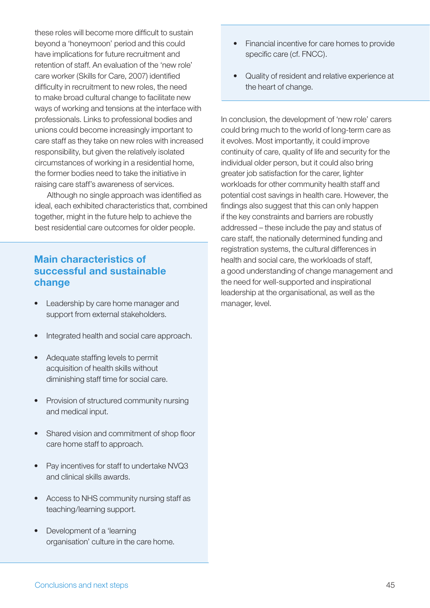these roles will become more difficult to sustain beyond a 'honeymoon' period and this could have implications for future recruitment and retention of staff. An evaluation of the 'new role' care worker (Skills for Care, 2007) identified difficulty in recruitment to new roles, the need to make broad cultural change to facilitate new ways of working and tensions at the interface with professionals. Links to professional bodies and unions could become increasingly important to care staff as they take on new roles with increased responsibility, but given the relatively isolated circumstances of working in a residential home, the former bodies need to take the initiative in raising care staff's awareness of services.

Although no single approach was identified as ideal, each exhibited characteristics that, combined together, might in the future help to achieve the best residential care outcomes for older people.

## **Main characteristics of successful and sustainable change**

- Leadership by care home manager and support from external stakeholders.
- Integrated health and social care approach.
- Adequate staffing levels to permit acquisition of health skills without diminishing staff time for social care.
- Provision of structured community nursing and medical input.
- **Shared vision and commitment of shop floor** care home staff to approach.
- Pay incentives for staff to undertake NVQ3 and clinical skills awards.
- Access to NHS community nursing staff as teaching/learning support.
- Development of a 'learning organisation' culture in the care home.
- Financial incentive for care homes to provide specific care (cf. FNCC).
- Quality of resident and relative experience at the heart of change.

In conclusion, the development of 'new role' carers could bring much to the world of long-term care as it evolves. Most importantly, it could improve continuity of care, quality of life and security for the individual older person, but it could also bring greater job satisfaction for the carer, lighter workloads for other community health staff and potential cost savings in health care. However, the findings also suggest that this can only happen if the key constraints and barriers are robustly addressed – these include the pay and status of care staff, the nationally determined funding and registration systems, the cultural differences in health and social care, the workloads of staff, a good understanding of change management and the need for well-supported and inspirational leadership at the organisational, as well as the manager, level.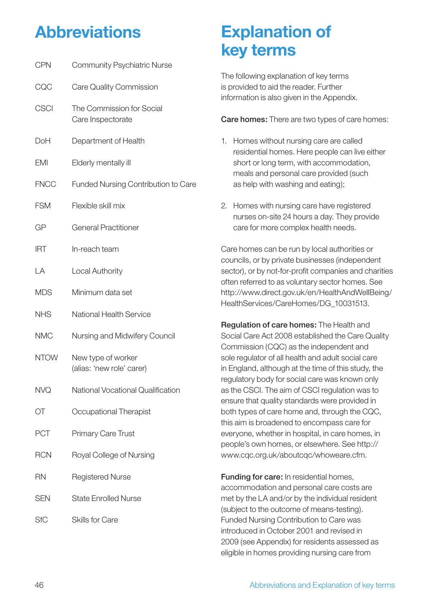## **Abbreviations**

| <b>CPN</b>  | <b>Community Psychiatric Nurse</b>              |
|-------------|-------------------------------------------------|
| CQC         | Care Quality Commission                         |
| <b>CSCI</b> | The Commission for Social<br>Care Inspectorate  |
| DoH         | Department of Health                            |
| <b>EMI</b>  | Elderly mentally ill                            |
| <b>FNCC</b> | <b>Funded Nursing Contribution to Care</b>      |
| <b>FSM</b>  | Flexible skill mix                              |
| GP          | <b>General Practitioner</b>                     |
| IRT         | In-reach team                                   |
| LA          | <b>Local Authority</b>                          |
| <b>MDS</b>  | Minimum data set                                |
| <b>NHS</b>  | National Health Service                         |
| <b>NMC</b>  | Nursing and Midwifery Council                   |
| <b>NTOW</b> | New type of worker<br>(alias: 'new role' carer) |
| <b>NVQ</b>  | <b>National Vocational Qualification</b>        |
| ОT          | Occupational Therapist                          |
| <b>PCT</b>  | <b>Primary Care Trust</b>                       |
| <b>RCN</b>  | Royal College of Nursing                        |
| <b>RN</b>   | <b>Registered Nurse</b>                         |
| <b>SEN</b>  | <b>State Enrolled Nurse</b>                     |
| SfC         | Skills for Care                                 |
|             |                                                 |

## **Explanation of key terms**

The following explanation of key terms is provided to aid the reader. Further information is also given in the Appendix.

**Care homes:** There are two types of care homes:

- 1. Homes without nursing care are called residential homes. Here people can live either short or long term, with accommodation, meals and personal care provided (such as help with washing and eating);
- 2. Homes with nursing care have registered nurses on-site 24 hours a day. They provide care for more complex health needs.

Care homes can be run by local authorities or councils, or by private businesses (independent sector), or by not-for-profit companies and charities often referred to as voluntary sector homes. See http://www.direct.gov.uk/en/HealthAndWellBeing/ HealthServices/CareHomes/DG\_10031513.

**Regulation of care homes:** The Health and Social Care Act 2008 established the Care Quality Commission (CQC) as the independent and sole regulator of all health and adult social care in England, although at the time of this study, the regulatory body for social care was known only as the CSCI. The aim of CSCI regulation was to ensure that quality standards were provided in both types of care home and, through the CQC, this aim is broadened to encompass care for everyone, whether in hospital, in care homes, in people's own homes, or elsewhere. See http:// www.cqc.org.uk/aboutcqc/whoweare.cfm.

**Funding for care:** In residential homes, accommodation and personal care costs are met by the LA and/or by the individual resident (subject to the outcome of means-testing). Funded Nursing Contribution to Care was introduced in October 2001 and revised in 2009 (see Appendix) for residents assessed as eligible in homes providing nursing care from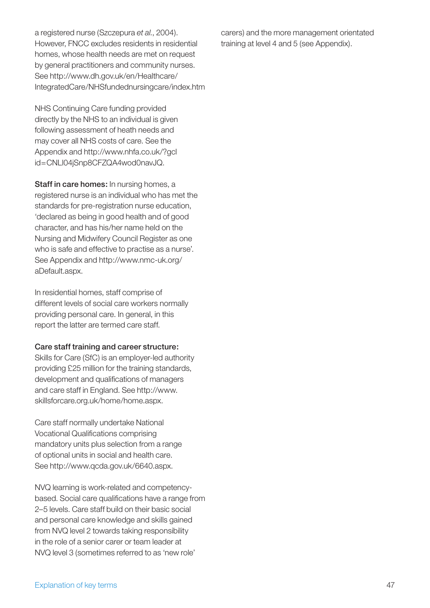a registered nurse (Szczepura *et al.*, 2004). However, FNCC excludes residents in residential homes, whose health needs are met on request by general practitioners and community nurses. See http://www.dh.gov.uk/en/Healthcare/ IntegratedCare/NHSfundednursingcare/index.htm

NHS Continuing Care funding provided directly by the NHS to an individual is given following assessment of heath needs and may cover all NHS costs of care. See the Appendix and http://www.nhfa.co.uk/?gcl id=CNLl04jSnp8CFZQA4wod0navJQ.

**Staff in care homes:** In nursing homes, a registered nurse is an individual who has met the standards for pre-registration nurse education, 'declared as being in good health and of good character, and has his/her name held on the Nursing and Midwifery Council Register as one who is safe and effective to practise as a nurse'. See Appendix and http://www.nmc-uk.org/ aDefault.aspx.

In residential homes, staff comprise of different levels of social care workers normally providing personal care. In general, in this report the latter are termed care staff.

#### **Care staff training and career structure:**

Skills for Care (SfC) is an employer-led authority providing £25 million for the training standards, development and qualifications of managers and care staff in England. See http://www. skillsforcare.org.uk/home/home.aspx.

Care staff normally undertake National Vocational Qualifications comprising mandatory units plus selection from a range of optional units in social and health care. See http://www.qcda.gov.uk/6640.aspx.

NVQ learning is work-related and competencybased. Social care qualifications have a range from 2–5 levels. Care staff build on their basic social and personal care knowledge and skills gained from NVQ level 2 towards taking responsibility in the role of a senior carer or team leader at NVQ level 3 (sometimes referred to as 'new role'

carers) and the more management orientated training at level 4 and 5 (see Appendix).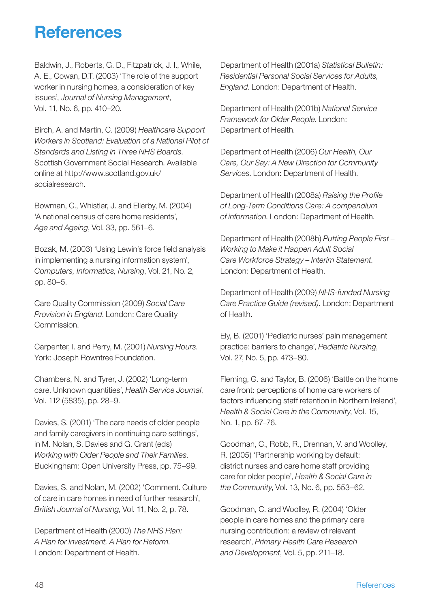## **References**

Baldwin, J., Roberts, G. D., Fitzpatrick, J. I., While, A. E., Cowan, D.T. (2003) 'The role of the support worker in nursing homes, a consideration of key issues', *Journal of Nursing Management*, Vol. 11, No. 6, pp. 410–20.

Birch, A. and Martin, C. (2009) *Healthcare Support Workers in Scotland: Evaluation of a National Pilot of Standards and Listing in Three NHS Boards*. Scottish Government Social Research. Available online at http://www.scotland.gov.uk/ socialresearch.

Bowman, C., Whistler, J. and Ellerby, M. (2004) 'A national census of care home residents', *Age and Ageing*, Vol. 33, pp. 561–6.

Bozak, M. (2003) 'Using Lewin's force field analysis in implementing a nursing information system', *Computers, Informatics, Nursing*, Vol. 21, No. 2, pp. 80–5.

Care Quality Commission (2009) *Social Care Provision in England*. London: Care Quality Commission.

Carpenter, I. and Perry, M. (2001) *Nursing Hours*. York: Joseph Rowntree Foundation.

Chambers, N. and Tyrer, J. (2002) 'Long-term care. Unknown quantities', *Health Service Journal*, Vol. 112 (5835), pp. 28–9.

Davies, S. (2001) 'The care needs of older people and family caregivers in continuing care settings', in M. Nolan, S. Davies and G. Grant (eds) *Working with Older People and Their Families*. Buckingham: Open University Press, pp. 75–99.

Davies, S. and Nolan, M. (2002) 'Comment. Culture of care in care homes in need of further research', *British Journal of Nursing*, Vol. 11, No. 2, p. 78.

Department of Health (2000) *The NHS Plan: A Plan for Investment. A Plan for Reform*. London: Department of Health.

Department of Health (2001a) *Statistical Bulletin: Residential Personal Social Services for Adults, England*. London: Department of Health.

Department of Health (2001b) *National Service Framework for Older People*. London: Department of Health.

Department of Health (2006) *Our Health, Our Care, Our Say: A New Direction for Community Services*. London: Department of Health.

Department of Health (2008a) *Raising the Profi le of Long-Term Conditions Care: A compendium of information*. London: Department of Health.

Department of Health (2008b) *Putting People First – Working to Make it Happen Adult Social Care Workforce Strategy – Interim Statement*. London: Department of Health.

Department of Health (2009) *NHS-funded Nursing Care Practice Guide (revised)*. London: Department of Health.

Ely, B. (2001) 'Pediatric nurses' pain management practice: barriers to change', *Pediatric Nursing*, Vol. 27, No. 5, pp. 473–80.

Fleming, G. and Taylor, B. (2006) 'Battle on the home care front: perceptions of home care workers of factors influencing staff retention in Northern Ireland', *Health & Social Care in the Community*, Vol. 15, No. 1, pp. 67–76.

Goodman, C., Robb, R., Drennan, V. and Woolley, R. (2005) 'Partnership working by default: district nurses and care home staff providing care for older people', *Health & Social Care in the Community*, Vol. 13, No. 6, pp. 553–62.

Goodman, C. and Woolley, R. (2004) 'Older people in care homes and the primary care nursing contribution: a review of relevant research', *Primary Health Care Research and Development*, Vol. 5, pp. 211–18.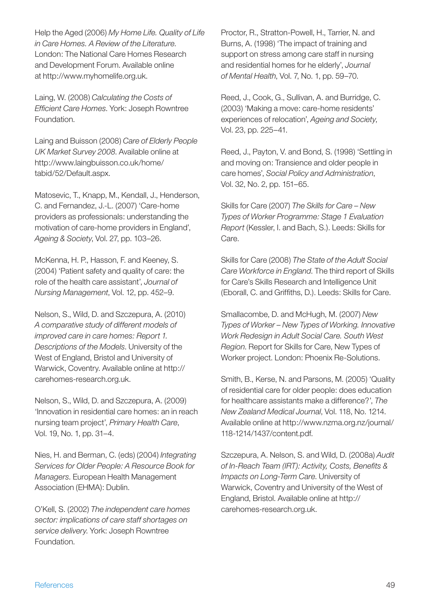Help the Aged (2006) *My Home Life. Quality of Life in Care Homes. A Review of the Literature*. London: The National Care Homes Research and Development Forum. Available online at http://www.myhomelife.org.uk.

Laing, W. (2008) *Calculating the Costs of Effi cient Care Homes*. York: Joseph Rowntree Foundation.

Laing and Buisson (2008) *Care of Elderly People UK Market Survey 2008*. Available online at http://www.laingbuisson.co.uk/home/ tabid/52/Default.aspx.

Matosevic, T., Knapp, M., Kendall, J., Henderson, C. and Fernandez, J.-L. (2007) 'Care-home providers as professionals: understanding the motivation of care-home providers in England', *Ageing & Society*, Vol. 27, pp. 103–26.

McKenna, H. P., Hasson, F. and Keeney, S. (2004) 'Patient safety and quality of care: the role of the health care assistant', *Journal of Nursing Management*, Vol. 12, pp. 452–9.

Nelson, S., Wild, D. and Szczepura, A. (2010) *A comparative study of different models of improved care in care homes: Report 1. Descriptions of the Models*. University of the West of England, Bristol and University of Warwick, Coventry. Available online at http:// carehomes-research.org.uk.

Nelson, S., Wild, D. and Szczepura, A. (2009) 'Innovation in residential care homes: an in reach nursing team project', *Primary Health Care*, Vol. 19, No. 1, pp. 31–4.

Nies, H. and Berman, C. (eds) (2004) *Integrating Services for Older People: A Resource Book for Managers*. European Health Management Association (EHMA): Dublin.

O'Kell, S. (2002) *The independent care homes sector: implications of care staff shortages on service delivery*. York: Joseph Rowntree Foundation.

Proctor, R., Stratton-Powell, H., Tarrier, N. and Burns, A. (1998) 'The impact of training and support on stress among care staff in nursing and residential homes for he elderly', *Journal of Mental Health*, Vol. 7, No. 1, pp. 59–70.

Reed, J., Cook, G., Sullivan, A. and Burridge, C. (2003) 'Making a move: care-home residents' experiences of relocation', *Ageing and Society*, Vol. 23, pp. 225–41.

Reed, J., Payton, V. and Bond, S. (1998) 'Settling in and moving on: Transience and older people in care homes', *Social Policy and Administration*, Vol. 32, No. 2, pp. 151–65.

Skills for Care (2007) *The Skills for Care – New Types of Worker Programme: Stage 1 Evaluation Report* (Kessler, I. and Bach, S.). Leeds: Skills for Care.

Skills for Care (2008) *The State of the Adult Social Care Workforce in England*. The third report of Skills for Care's Skills Research and Intelligence Unit (Eborall, C. and Griffiths, D.). Leeds: Skills for Care.

Smallacombe, D. and McHugh, M. (2007) *New Types of Worker – New Types of Working. Innovative Work Redesign in Adult Social Care. South West Region*. Report for Skills for Care, New Types of Worker project. London: Phoenix Re-Solutions.

Smith, B., Kerse, N. and Parsons, M. (2005) 'Quality of residential care for older people: does education for healthcare assistants make a difference?', *The New Zealand Medical Journal*, Vol. 118, No. 1214. Available online at http://www.nzma.org.nz/journal/ 118-1214/1437/content.pdf.

Szczepura, A. Nelson, S. and Wild, D. (2008a) *Audit*  of In-Reach Team (IRT): Activity, Costs, Benefits & *Impacts on Long-Term Care*. University of Warwick, Coventry and University of the West of England, Bristol. Available online at http:// carehomes-research.org.uk.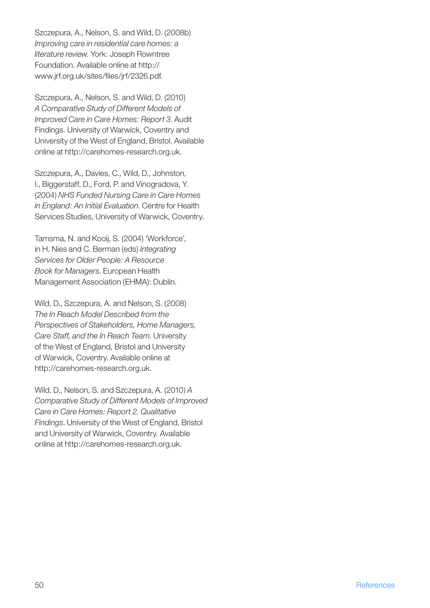Szczepura, A., Nelson, S. and Wild, D. (2008b) *Improving care in residential care homes: a literature review*. York: Joseph Rowntree Foundation. Available online at http:// www.irf.org.uk/sites/files/irf/2326.pdf.

Szczepura, A., Nelson, S. and Wild, D. (2010) *A Comparative Study of Different Models of Improved Care in Care Homes: Report 3*. Audit Findings. University of Warwick, Coventry and University of the West of England, Bristol. Available online at http://carehomes-research.org.uk.

Szczepura, A., Davies, C., Wild, D., Johnston, I., Biggerstaff, D., Ford, P. and Vinogradova, Y. (2004) *NHS Funded Nursing Care in Care Homes in England: An Initial Evaluation*. Centre for Health Services Studies, University of Warwick, Coventry.

Tamsma, N. and Kooij, S. (2004) 'Workforce', in H. Nies and C. Berman (eds) *Integrating Services for Older People: A Resource Book for Managers*. European Health Management Association (EHMA): Dublin.

Wild, D., Szczepura, A. and Nelson, S. (2008) *The In Reach Model Described from the Perspectives of Stakeholders, Home Managers, Care Staff, and the In Reach Team*. University of the West of England, Bristol and University of Warwick, Coventry. Available online at http://carehomes-research.org.uk.

Wild, D., Nelson, S. and Szczepura, A. (2010) *A Comparative Study of Different Models of Improved Care in Care Homes: Report 2. Qualitative Findings*. University of the West of England, Bristol and University of Warwick, Coventry. Available online at http://carehomes-research.org.uk.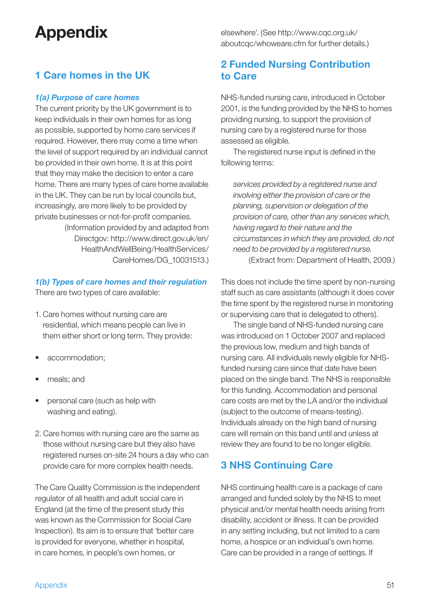## **Appendix**

## **1 Care homes in the UK**

#### *1(a) Purpose of care homes*

The current priority by the UK government is to keep individuals in their own homes for as long as possible, supported by home care services if required. However, there may come a time when the level of support required by an individual cannot be provided in their own home. It is at this point that they may make the decision to enter a care home. There are many types of care home available in the UK. They can be run by local councils but, increasingly, are more likely to be provided by private businesses or not-for-profit companies. (Information provided by and adapted from Directgov: http://www.direct.gov.uk/en/

HealthAndWellBeing/HealthServices/ CareHomes/DG\_10031513.)

#### *1(b) Types of care homes and their regulation*

There are two types of care available:

- 1. Care homes without nursing care are residential, which means people can live in them either short or long term. They provide:
- accommodation;
- meals; and
- personal care (such as help with washing and eating).
- 2. Care homes with nursing care are the same as those without nursing care but they also have registered nurses on-site 24 hours a day who can provide care for more complex health needs.

The Care Quality Commission is the independent regulator of all health and adult social care in England (at the time of the present study this was known as the Commission for Social Care Inspection). Its aim is to ensure that 'better care is provided for everyone, whether in hospital, in care homes, in people's own homes, or

elsewhere'. (See http://www.cqc.org.uk/ aboutcqc/whoweare.cfm for further details.)

## **2 Funded Nursing Contribution to Care**

NHS-funded nursing care, introduced in October 2001, is the funding provided by the NHS to homes providing nursing, to support the provision of nursing care by a registered nurse for those assessed as eligible.

The registered nurse input is defined in the following terms:

*services provided by a registered nurse and involving either the provision of care or the planning, supervision or delegation of the provision of care, other than any services which, having regard to their nature and the circumstances in which they are provided, do not need to be provided by a registered nurse.* 

(Extract from: Department of Health, 2009.)

This does not include the time spent by non-nursing staff such as care assistants (although it does cover the time spent by the registered nurse in monitoring or supervising care that is delegated to others).

 The single band of NHS-funded nursing care was introduced on 1 October 2007 and replaced the previous low, medium and high bands of nursing care. All individuals newly eligible for NHSfunded nursing care since that date have been placed on the single band. The NHS is responsible for this funding. Accommodation and personal care costs are met by the LA and/or the individual (subject to the outcome of means-testing). Individuals already on the high band of nursing care will remain on this band until and unless at review they are found to be no longer eligible.

## **3 NHS Continuing Care**

NHS continuing health care is a package of care arranged and funded solely by the NHS to meet physical and/or mental health needs arising from disability, accident or illness. It can be provided in any setting including, but not limited to a care home, a hospice or an individual's own home. Care can be provided in a range of settings. If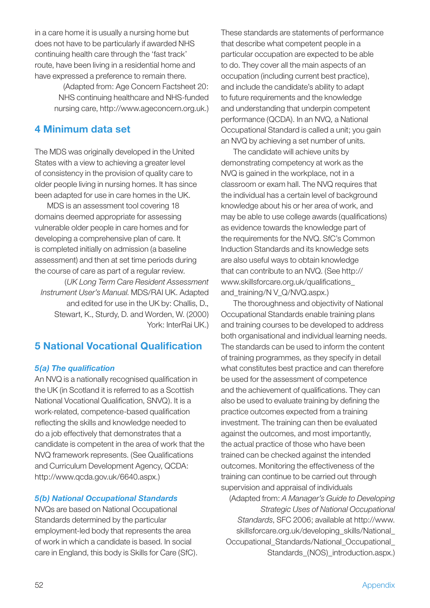in a care home it is usually a nursing home but does not have to be particularly if awarded NHS continuing health care through the 'fast track' route, have been living in a residential home and have expressed a preference to remain there.

> (Adapted from: Age Concern Factsheet 20: NHS continuing healthcare and NHS-funded nursing care, http://www.ageconcern.org.uk.)

## **4 Minimum data set**

The MDS was originally developed in the United States with a view to achieving a greater level of consistency in the provision of quality care to older people living in nursing homes. It has since been adapted for use in care homes in the UK.

 MDS is an assessment tool covering 18 domains deemed appropriate for assessing vulnerable older people in care homes and for developing a comprehensive plan of care. It is completed initially on admission (a baseline assessment) and then at set time periods during the course of care as part of a regular review.

(*UK Long Term Care Resident Assessment Instrument User's Manual*. MDS/RAI UK. Adapted and edited for use in the UK by: Challis, D., Stewart, K., Sturdy, D. and Worden, W. (2000) York: InterRai UK.)

## **5 National Vocational Qualification**

#### *5(a) The qualifi cation*

An NVQ is a nationally recognised qualification in the UK (in Scotland it is referred to as a Scottish National Vocational Qualification, SNVQ). It is a work-related, competence-based qualification reflecting the skills and knowledge needed to do a job effectively that demonstrates that a candidate is competent in the area of work that the NVQ framework represents. (See Qualifications and Curriculum Development Agency, QCDA: http://www.qcda.gov.uk/6640.aspx.)

#### *5(b) National Occupational Standards*

NVQs are based on National Occupational Standards determined by the particular employment-led body that represents the area of work in which a candidate is based. In social care in England, this body is Skills for Care (SfC).

These standards are statements of performance that describe what competent people in a particular occupation are expected to be able to do. They cover all the main aspects of an occupation (including current best practice), and include the candidate's ability to adapt to future requirements and the knowledge and understanding that underpin competent performance (QCDA). In an NVQ, a National Occupational Standard is called a unit; you gain an NVQ by achieving a set number of units.

 The candidate will achieve units by demonstrating competency at work as the NVQ is gained in the workplace, not in a classroom or exam hall. The NVQ requires that the individual has a certain level of background knowledge about his or her area of work, and may be able to use college awards (qualifications) as evidence towards the knowledge part of the requirements for the NVQ. SfC's Common Induction Standards and its knowledge sets are also useful ways to obtain knowledge that can contribute to an NVQ. (See http:// www.skillsforcare.org.uk/qualifications\_ and\_training/N V\_Q/NVQ.aspx.)

 The thoroughness and objectivity of National Occupational Standards enable training plans and training courses to be developed to address both organisational and individual learning needs. The standards can be used to inform the content of training programmes, as they specify in detail what constitutes best practice and can therefore be used for the assessment of competence and the achievement of qualifications. They can also be used to evaluate training by defining the practice outcomes expected from a training investment. The training can then be evaluated against the outcomes, and most importantly, the actual practice of those who have been trained can be checked against the intended outcomes. Monitoring the effectiveness of the training can continue to be carried out through supervision and appraisal of individuals

(Adapted from: *A Manager's Guide to Developing Strategic Uses of National Occupational Standards*, SFC 2006; available at http://www. skillsforcare.org.uk/developing\_skills/National\_ Occupational\_Standards/National\_Occupational\_ Standards\_(NOS)\_introduction.aspx.)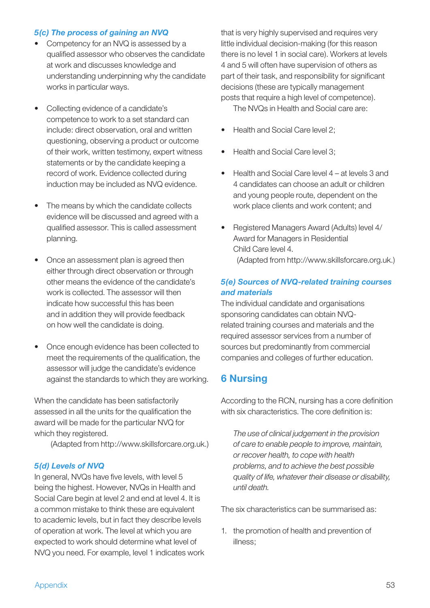#### *5(c) The process of gaining an NVQ*

- Competency for an NVQ is assessed by a qualified assessor who observes the candidate at work and discusses knowledge and understanding underpinning why the candidate works in particular ways.
- Collecting evidence of a candidate's competence to work to a set standard can include: direct observation, oral and written questioning, observing a product or outcome of their work, written testimony, expert witness statements or by the candidate keeping a record of work. Evidence collected during induction may be included as NVQ evidence.
- The means by which the candidate collects evidence will be discussed and agreed with a qualified assessor. This is called assessment planning.
- Once an assessment plan is agreed then either through direct observation or through other means the evidence of the candidate's work is collected. The assessor will then indicate how successful this has been and in addition they will provide feedback on how well the candidate is doing.
- Once enough evidence has been collected to meet the requirements of the qualification, the assessor will judge the candidate's evidence against the standards to which they are working.

When the candidate has been satisfactorily assessed in all the units for the qualification the award will be made for the particular NVQ for which they registered.

(Adapted from http://www.skillsforcare.org.uk.)

#### *5(d) Levels of NVQ*

In general, NVQs have five levels, with level 5 being the highest. However, NVQs in Health and Social Care begin at level 2 and end at level 4. It is a common mistake to think these are equivalent to academic levels, but in fact they describe levels of operation at work. The level at which you are expected to work should determine what level of NVQ you need. For example, level 1 indicates work that is very highly supervised and requires very little individual decision-making (for this reason there is no level 1 in social care). Workers at levels 4 and 5 will often have supervision of others as part of their task, and responsibility for significant decisions (these are typically management posts that require a high level of competence). The NVQs in Health and Social care are:

• Health and Social Care level 2:

- Health and Social Care level 3;
- Health and Social Care level 4 at levels 3 and 4 candidates can choose an adult or children and young people route, dependent on the work place clients and work content; and
- Registered Managers Award (Adults) level 4/ Award for Managers in Residential Child Care level 4. (Adapted from http://www.skillsforcare.org.uk.)

#### *5(e) Sources of NVQ-related training courses and materials*

The individual candidate and organisations sponsoring candidates can obtain NVQrelated training courses and materials and the required assessor services from a number of sources but predominantly from commercial companies and colleges of further education.

## **6 Nursing**

According to the RCN, nursing has a core definition with six characteristics. The core definition is:

*The use of clinical judgement in the provision of care to enable people to improve, maintain, or recover health, to cope with health problems, and to achieve the best possible quality of life, whatever their disease or disability, until death.*

The six characteristics can be summarised as:

1. the promotion of health and prevention of illness;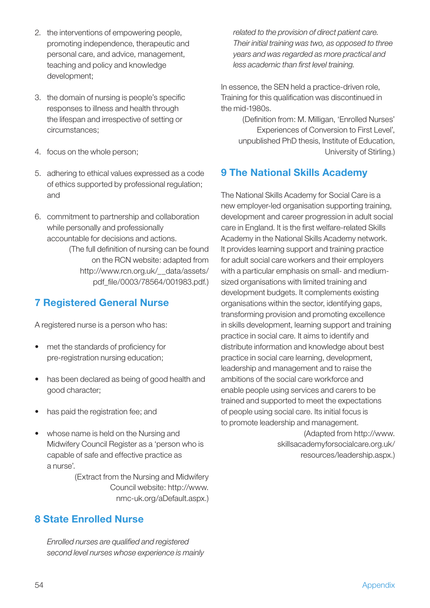- 2. the interventions of empowering people, promoting independence, therapeutic and personal care, and advice, management, teaching and policy and knowledge development;
- 3. the domain of nursing is people's specific responses to illness and health through the lifespan and irrespective of setting or circumstances;
- 4. focus on the whole person;
- 5. adhering to ethical values expressed as a code of ethics supported by professional regulation; and
- 6. commitment to partnership and collaboration while personally and professionally accountable for decisions and actions. (The full definition of nursing can be found on the RCN website: adapted from http://www.rcn.org.uk/\_\_data/assets/ pdf\_file/0003/78564/001983.pdf.)

## **7 Registered General Nurse**

A registered nurse is a person who has:

- met the standards of proficiency for pre-registration nursing education;
- has been declared as being of good health and good character;
- has paid the registration fee; and
- whose name is held on the Nursing and Midwifery Council Register as a 'person who is capable of safe and effective practice as a nurse'.

(Extract from the Nursing and Midwifery Council website: http://www. nmc-uk.org/aDefault.aspx.)

## **8 State Enrolled Nurse**

*Enrolled nurses are qualified and registered second level nurses whose experience is mainly* 

*related to the provision of direct patient care. Their initial training was two, as opposed to three years and was regarded as more practical and*  less academic than first level training.

In essence, the SEN held a practice-driven role, Training for this qualification was discontinued in the mid-1980s.

(Definition from: M. Milligan, 'Enrolled Nurses' Experiences of Conversion to First Level', unpublished PhD thesis, Institute of Education, University of Stirling.)

## **9 The National Skills Academy**

The National Skills Academy for Social Care is a new employer-led organisation supporting training, development and career progression in adult social care in England. It is the first welfare-related Skills Academy in the National Skills Academy network. It provides learning support and training practice for adult social care workers and their employers with a particular emphasis on small- and mediumsized organisations with limited training and development budgets. It complements existing organisations within the sector, identifying gaps, transforming provision and promoting excellence in skills development, learning support and training practice in social care. It aims to identify and distribute information and knowledge about best practice in social care learning, development, leadership and management and to raise the ambitions of the social care workforce and enable people using services and carers to be trained and supported to meet the expectations of people using social care. Its initial focus is to promote leadership and management.

> (Adapted from http://www. skillsacademyforsocialcare.org.uk/ resources/leadership.aspx.)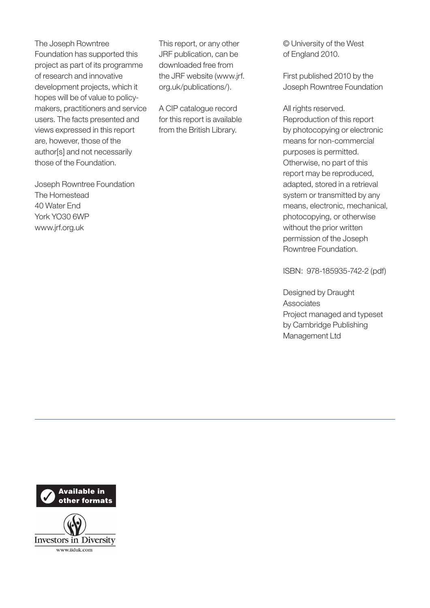The Joseph Rowntree Foundation has supported this project as part of its programme of research and innovative development projects, which it hopes will be of value to policymakers, practitioners and service users. The facts presented and views expressed in this report are, however, those of the author[s] and not necessarily those of the Foundation.

Joseph Rowntree Foundation The Homestead 40 Water End York YO30 6WP www.jrf.org.uk

This report, or any other JRF publication, can be downloaded free from the JRF website (www.jrf. org.uk/publications/).

A CIP catalogue record for this report is available from the British Library.

© University of the West of England 2010.

First published 2010 by the Joseph Rowntree Foundation

All rights reserved. Reproduction of this report by photocopying or electronic means for non-commercial purposes is permitted. Otherwise, no part of this report may be reproduced, adapted, stored in a retrieval system or transmitted by any means, electronic, mechanical, photocopying, or otherwise without the prior written permission of the Joseph Rowntree Foundation.

ISBN: 978-185935-742-2 (pdf)

Designed by Draught Associates Project managed and typeset by Cambridge Publishing Management Ltd

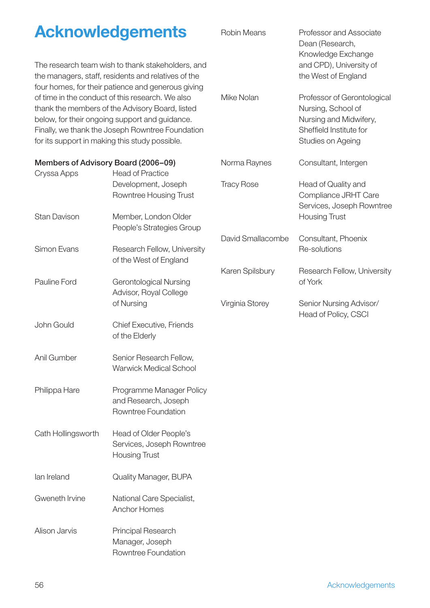|                                                    | <b>Acknowledgements</b>                                                                                                                                                                                   | <b>Robin Means</b> | Professor and Associate<br>Dean (Research,                                                                                  |
|----------------------------------------------------|-----------------------------------------------------------------------------------------------------------------------------------------------------------------------------------------------------------|--------------------|-----------------------------------------------------------------------------------------------------------------------------|
|                                                    | The research team wish to thank stakeholders, and<br>the managers, staff, residents and relatives of the<br>four homes, for their patience and generous giving                                            |                    | Knowledge Exchange<br>and CPD), University of<br>the West of England                                                        |
| for its support in making this study possible.     | of time in the conduct of this research. We also<br>thank the members of the Advisory Board, listed<br>below, for their ongoing support and guidance.<br>Finally, we thank the Joseph Rowntree Foundation | Mike Nolan         | Professor of Gerontological<br>Nursing, School of<br>Nursing and Midwifery,<br>Sheffield Institute for<br>Studies on Ageing |
| Members of Advisory Board (2006–09)<br>Cryssa Apps | <b>Head of Practice</b>                                                                                                                                                                                   | Norma Raynes       | Consultant, Intergen                                                                                                        |
|                                                    | Development, Joseph<br>Rowntree Housing Trust                                                                                                                                                             | <b>Tracy Rose</b>  | Head of Quality and<br>Compliance JRHT Care<br>Services, Joseph Rowntree                                                    |
| <b>Stan Davison</b>                                | Member, London Older<br>People's Strategies Group                                                                                                                                                         |                    | <b>Housing Trust</b>                                                                                                        |
| Simon Evans                                        | Research Fellow, University<br>of the West of England                                                                                                                                                     | David Smallacombe  | Consultant, Phoenix<br>Re-solutions                                                                                         |
| Pauline Ford                                       | <b>Gerontological Nursing</b><br>Advisor, Royal College                                                                                                                                                   | Karen Spilsbury    | Research Fellow, University<br>of York                                                                                      |
|                                                    | of Nursing                                                                                                                                                                                                | Virginia Storey    | Senior Nursing Advisor/<br>Head of Policy, CSCI                                                                             |
| John Gould                                         | <b>Chief Executive, Friends</b><br>of the Elderly                                                                                                                                                         |                    |                                                                                                                             |
| Anil Gumber                                        | Senior Research Fellow,<br><b>Warwick Medical School</b>                                                                                                                                                  |                    |                                                                                                                             |
| Philippa Hare                                      | Programme Manager Policy<br>and Research, Joseph<br>Rowntree Foundation                                                                                                                                   |                    |                                                                                                                             |
| Cath Hollingsworth                                 | Head of Older People's<br>Services, Joseph Rowntree<br><b>Housing Trust</b>                                                                                                                               |                    |                                                                                                                             |
| lan Ireland                                        | Quality Manager, BUPA                                                                                                                                                                                     |                    |                                                                                                                             |
| Gweneth Irvine                                     | National Care Specialist,<br>Anchor Homes                                                                                                                                                                 |                    |                                                                                                                             |
| Alison Jarvis                                      | Principal Research<br>Manager, Joseph<br>Rowntree Foundation                                                                                                                                              |                    |                                                                                                                             |